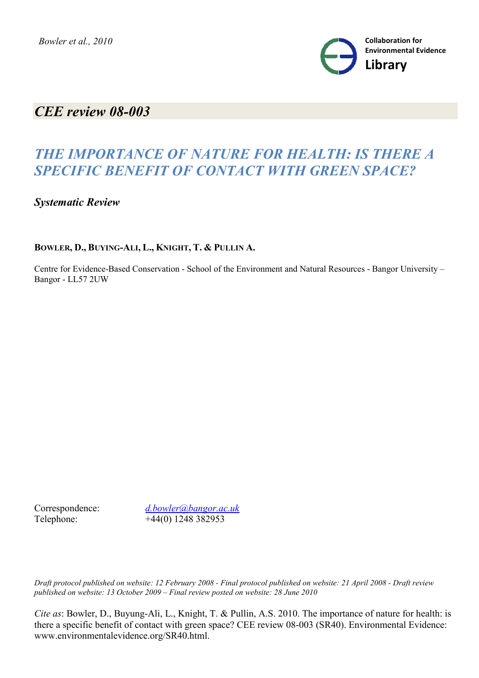

## *CEE review 08-003*

# *THE IMPORTANCE OF NATURE FOR HEALTH: IS THERE A SPECIFIC BENEFIT OF CONTACT WITH GREEN SPACE?*

*Systematic Review*

### **BOWLER, D., BUYING-ALI, L., KNIGHT, T. & PULLIN A.**

Centre for Evidence-Based Conservation - School of the Environment and Natural Resources - Bangor University – Bangor - LL57 2UW

Correspondence: *d.bowler@bangor.ac.uk* Telephone: +44(0) 1248 382953

*Draft protocol published on website: 12 February 2008 - Final protocol published on website: 21 April 2008 - Draft review published on website: 13 October 2009 – Final review posted on website: 28 June 2010*

*Cite as*: Bowler, D., Buyung-Ali, L., Knight, T. & Pullin, A.S. 2010. The importance of nature for health: is there a specific benefit of contact with green space? CEE review 08-003 (SR40). Environmental Evidence: www.environmentalevidence.org/SR40.html.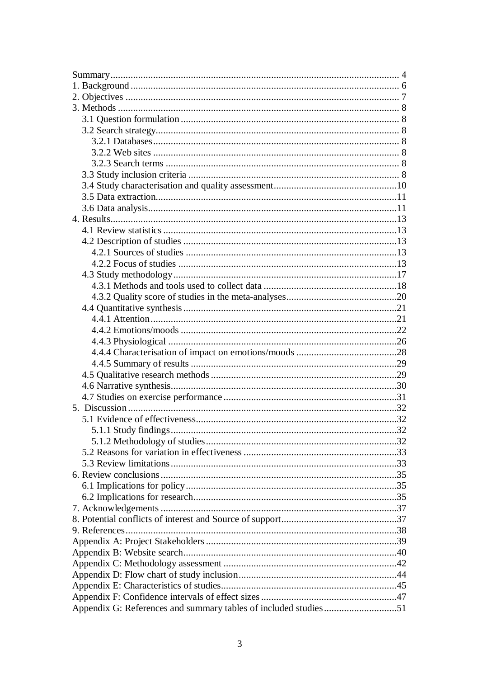| Appendix G: References and summary tables of included studies51 |  |
|-----------------------------------------------------------------|--|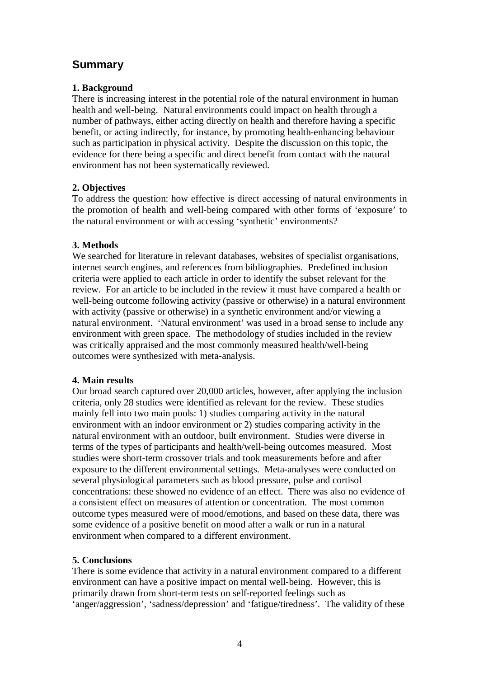## **Summary**

### **1. Background**

There is increasing interest in the potential role of the natural environment in human health and well-being. Natural environments could impact on health through a number of pathways, either acting directly on health and therefore having a specific benefit, or acting indirectly, for instance, by promoting health-enhancing behaviour such as participation in physical activity. Despite the discussion on this topic, the evidence for there being a specific and direct benefit from contact with the natural environment has not been systematically reviewed.

### **2. Objectives**

To address the question: how effective is direct accessing of natural environments in the promotion of health and well-being compared with other forms of 'exposure' to the natural environment or with accessing 'synthetic' environments?

### **3. Methods**

We searched for literature in relevant databases, websites of specialist organisations, internet search engines, and references from bibliographies. Predefined inclusion criteria were applied to each article in order to identify the subset relevant for the review. For an article to be included in the review it must have compared a health or well-being outcome following activity (passive or otherwise) in a natural environment with activity (passive or otherwise) in a synthetic environment and/or viewing a natural environment. 'Natural environment' was used in a broad sense to include any environment with green space. The methodology of studies included in the review was critically appraised and the most commonly measured health/well-being outcomes were synthesized with meta-analysis.

### **4. Main results**

Our broad search captured over 20,000 articles, however, after applying the inclusion criteria, only 28 studies were identified as relevant for the review. These studies mainly fell into two main pools: 1) studies comparing activity in the natural environment with an indoor environment or 2) studies comparing activity in the natural environment with an outdoor, built environment. Studies were diverse in terms of the types of participants and health/well-being outcomes measured. Most studies were short-term crossover trials and took measurements before and after exposure to the different environmental settings. Meta-analyses were conducted on several physiological parameters such as blood pressure, pulse and cortisol concentrations: these showed no evidence of an effect. There was also no evidence of a consistent effect on measures of attention or concentration. The most common outcome types measured were of mood/emotions, and based on these data, there was some evidence of a positive benefit on mood after a walk or run in a natural environment when compared to a different environment.

### **5. Conclusions**

There is some evidence that activity in a natural environment compared to a different environment can have a positive impact on mental well-being. However, this is primarily drawn from short-term tests on self-reported feelings such as 'anger/aggression', 'sadness/depression' and 'fatigue/tiredness'. The validity of these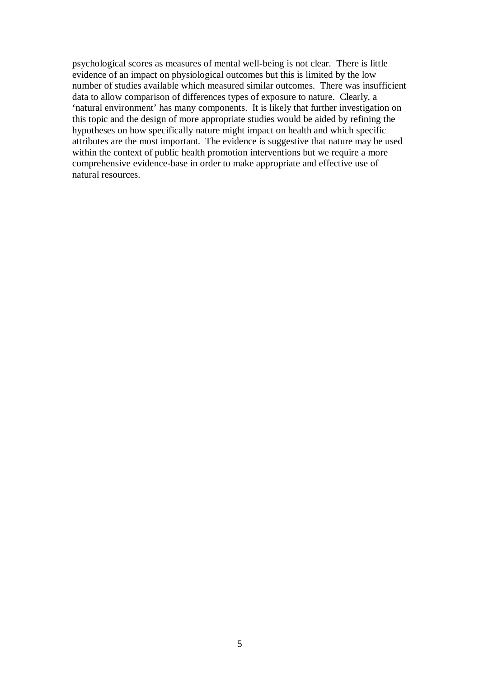psychological scores as measures of mental well-being is not clear. There is little evidence of an impact on physiological outcomes but this is limited by the low number of studies available which measured similar outcomes. There was insufficient data to allow comparison of differences types of exposure to nature. Clearly, a 'natural environment' has many components. It is likely that further investigation on this topic and the design of more appropriate studies would be aided by refining the hypotheses on how specifically nature might impact on health and which specific attributes are the most important. The evidence is suggestive that nature may be used within the context of public health promotion interventions but we require a more comprehensive evidence-base in order to make appropriate and effective use of natural resources.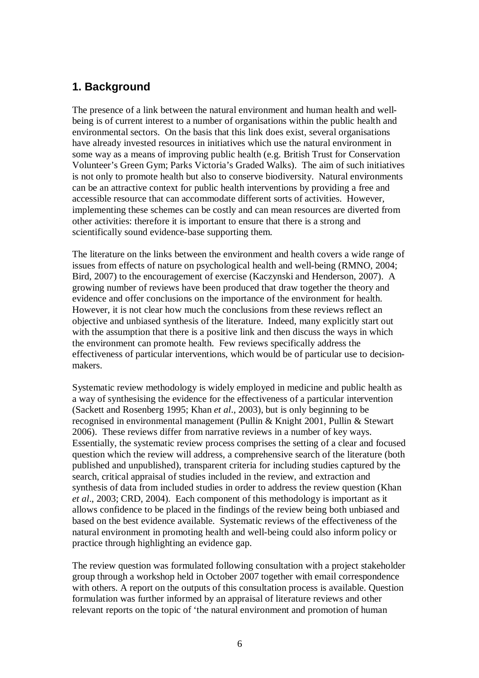## **1. Background**

The presence of a link between the natural environment and human health and wellbeing is of current interest to a number of organisations within the public health and environmental sectors. On the basis that this link does exist, several organisations have already invested resources in initiatives which use the natural environment in some way as a means of improving public health (e.g. British Trust for Conservation Volunteer's Green Gym; Parks Victoria's Graded Walks). The aim of such initiatives is not only to promote health but also to conserve biodiversity. Natural environments can be an attractive context for public health interventions by providing a free and accessible resource that can accommodate different sorts of activities. However, implementing these schemes can be costly and can mean resources are diverted from other activities: therefore it is important to ensure that there is a strong and scientifically sound evidence-base supporting them.

The literature on the links between the environment and health covers a wide range of issues from effects of nature on psychological health and well-being (RMNO, 2004; Bird, 2007) to the encouragement of exercise (Kaczynski and Henderson, 2007). A growing number of reviews have been produced that draw together the theory and evidence and offer conclusions on the importance of the environment for health. However, it is not clear how much the conclusions from these reviews reflect an objective and unbiased synthesis of the literature. Indeed, many explicitly start out with the assumption that there is a positive link and then discuss the ways in which the environment can promote health. Few reviews specifically address the effectiveness of particular interventions, which would be of particular use to decisionmakers.

Systematic review methodology is widely employed in medicine and public health as a way of synthesising the evidence for the effectiveness of a particular intervention (Sackett and Rosenberg 1995; Khan *et al*., 2003), but is only beginning to be recognised in environmental management (Pullin & Knight 2001, Pullin & Stewart 2006). These reviews differ from narrative reviews in a number of key ways. Essentially, the systematic review process comprises the setting of a clear and focused question which the review will address, a comprehensive search of the literature (both published and unpublished), transparent criteria for including studies captured by the search, critical appraisal of studies included in the review, and extraction and synthesis of data from included studies in order to address the review question (Khan *et al*., 2003; CRD, 2004). Each component of this methodology is important as it allows confidence to be placed in the findings of the review being both unbiased and based on the best evidence available. Systematic reviews of the effectiveness of the natural environment in promoting health and well-being could also inform policy or practice through highlighting an evidence gap.

The review question was formulated following consultation with a project stakeholder group through a workshop held in October 2007 together with email correspondence with others. A report on the outputs of this consultation process is available. Question formulation was further informed by an appraisal of literature reviews and other relevant reports on the topic of 'the natural environment and promotion of human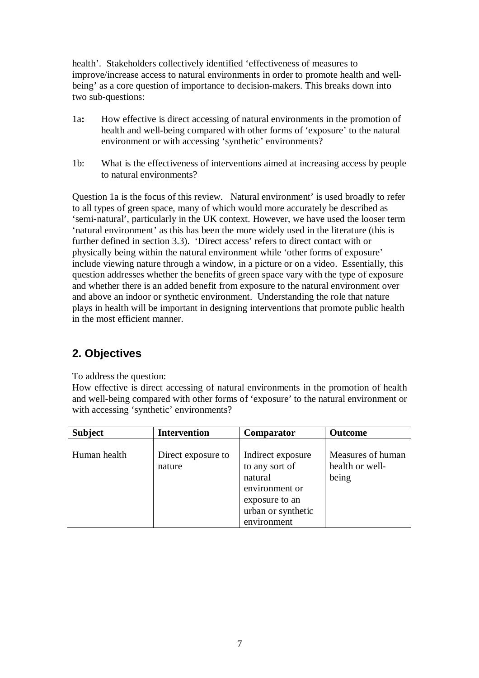health'. Stakeholders collectively identified 'effectiveness of measures to improve/increase access to natural environments in order to promote health and wellbeing' as a core question of importance to decision-makers. This breaks down into two sub-questions:

- 1a**:** How effective is direct accessing of natural environments in the promotion of health and well-being compared with other forms of 'exposure' to the natural environment or with accessing 'synthetic' environments?
- 1b: What is the effectiveness of interventions aimed at increasing access by people to natural environments?

Question 1a is the focus of this review. Natural environment' is used broadly to refer to all types of green space, many of which would more accurately be described as 'semi-natural', particularly in the UK context. However, we have used the looser term 'natural environment' as this has been the more widely used in the literature (this is further defined in section 3.3). 'Direct access' refers to direct contact with or physically being within the natural environment while 'other forms of exposure' include viewing nature through a window, in a picture or on a video. Essentially, this question addresses whether the benefits of green space vary with the type of exposure and whether there is an added benefit from exposure to the natural environment over and above an indoor or synthetic environment. Understanding the role that nature plays in health will be important in designing interventions that promote public health in the most efficient manner.

## **2. Objectives**

To address the question:

How effective is direct accessing of natural environments in the promotion of health and well-being compared with other forms of 'exposure' to the natural environment or with accessing 'synthetic' environments?

| <b>Subject</b> | <b>Intervention</b>          | Comparator                                                                                                              | <b>Outcome</b>                                |
|----------------|------------------------------|-------------------------------------------------------------------------------------------------------------------------|-----------------------------------------------|
| Human health   | Direct exposure to<br>nature | Indirect exposure<br>to any sort of<br>natural<br>environment or<br>exposure to an<br>urban or synthetic<br>environment | Measures of human<br>health or well-<br>being |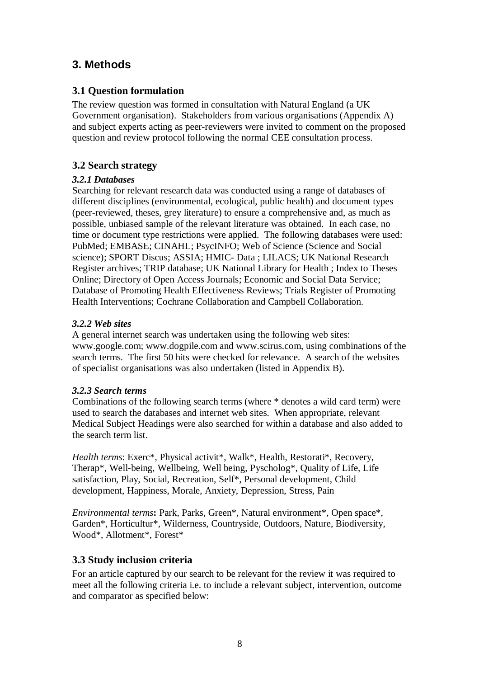## **3. Methods**

### **3.1 Question formulation**

The review question was formed in consultation with Natural England (a UK Government organisation). Stakeholders from various organisations (Appendix A) and subject experts acting as peer-reviewers were invited to comment on the proposed question and review protocol following the normal CEE consultation process.

## **3.2 Search strategy**

### *3.2.1 Databases*

Searching for relevant research data was conducted using a range of databases of different disciplines (environmental, ecological, public health) and document types (peer-reviewed, theses, grey literature) to ensure a comprehensive and, as much as possible, unbiased sample of the relevant literature was obtained. In each case, no time or document type restrictions were applied. The following databases were used: PubMed; EMBASE; CINAHL; PsycINFO; Web of Science (Science and Social science); SPORT Discus; ASSIA; HMIC- Data ; LILACS; UK National Research Register archives; TRIP database; UK National Library for Health ; Index to Theses Online; Directory of Open Access Journals; Economic and Social Data Service; Database of Promoting Health Effectiveness Reviews; Trials Register of Promoting Health Interventions; Cochrane Collaboration and Campbell Collaboration.

### *3.2.2 Web sites*

A general internet search was undertaken using the following web sites: www.google.com; www.dogpile.com and www.scirus.com, using combinations of the search terms. The first 50 hits were checked for relevance. A search of the websites of specialist organisations was also undertaken (listed in Appendix B).

### *3.2.3 Search terms*

Combinations of the following search terms (where \* denotes a wild card term) were used to search the databases and internet web sites. When appropriate, relevant Medical Subject Headings were also searched for within a database and also added to the search term list.

*Health terms*: Exerc\*, Physical activit\*, Walk\*, Health, Restorati\*, Recovery, Therap\*, Well-being, Wellbeing, Well being, Pyscholog\*, Quality of Life, Life satisfaction, Play, Social, Recreation, Self\*, Personal development, Child development, Happiness, Morale, Anxiety, Depression, Stress, Pain

*Environmental terms***:** Park, Parks, Green\*, Natural environment\*, Open space\*, Garden\*, Horticultur\*, Wilderness, Countryside, Outdoors, Nature, Biodiversity, Wood\*, Allotment\*, Forest\*

### **3.3 Study inclusion criteria**

For an article captured by our search to be relevant for the review it was required to meet all the following criteria i.e. to include a relevant subject, intervention, outcome and comparator as specified below: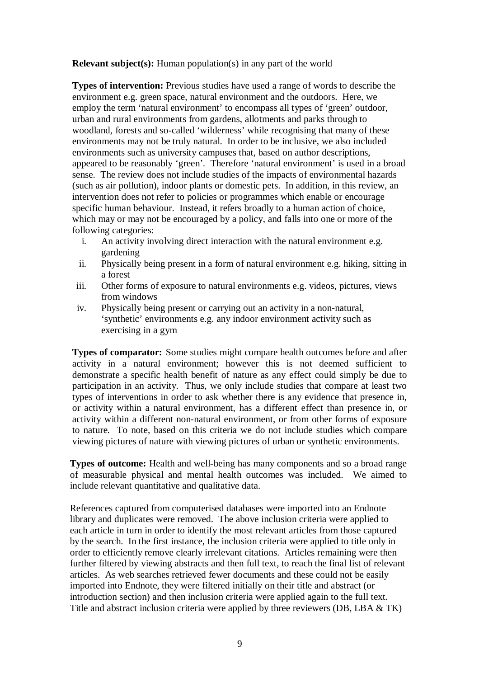**Relevant subject(s):** Human population(s) in any part of the world

**Types of intervention:** Previous studies have used a range of words to describe the environment e.g. green space, natural environment and the outdoors. Here, we employ the term 'natural environment' to encompass all types of 'green' outdoor, urban and rural environments from gardens, allotments and parks through to woodland, forests and so-called 'wilderness' while recognising that many of these environments may not be truly natural. In order to be inclusive, we also included environments such as university campuses that, based on author descriptions, appeared to be reasonably 'green'. Therefore 'natural environment' is used in a broad sense. The review does not include studies of the impacts of environmental hazards (such as air pollution), indoor plants or domestic pets. In addition, in this review, an intervention does not refer to policies or programmes which enable or encourage specific human behaviour. Instead, it refers broadly to a human action of choice, which may or may not be encouraged by a policy, and falls into one or more of the following categories:

- i. An activity involving direct interaction with the natural environment e.g. gardening
- ii. Physically being present in a form of natural environment e.g. hiking, sitting in a forest
- iii. Other forms of exposure to natural environments e.g. videos, pictures, views from windows
- iv. Physically being present or carrying out an activity in a non-natural, 'synthetic' environments e.g. any indoor environment activity such as exercising in a gym

**Types of comparator:** Some studies might compare health outcomes before and after activity in a natural environment; however this is not deemed sufficient to demonstrate a specific health benefit of nature as any effect could simply be due to participation in an activity. Thus, we only include studies that compare at least two types of interventions in order to ask whether there is any evidence that presence in, or activity within a natural environment, has a different effect than presence in, or activity within a different non-natural environment, or from other forms of exposure to nature. To note, based on this criteria we do not include studies which compare viewing pictures of nature with viewing pictures of urban or synthetic environments.

**Types of outcome:** Health and well-being has many components and so a broad range of measurable physical and mental health outcomes was included. We aimed to include relevant quantitative and qualitative data.

References captured from computerised databases were imported into an Endnote library and duplicates were removed. The above inclusion criteria were applied to each article in turn in order to identify the most relevant articles from those captured by the search. In the first instance, the inclusion criteria were applied to title only in order to efficiently remove clearly irrelevant citations. Articles remaining were then further filtered by viewing abstracts and then full text, to reach the final list of relevant articles. As web searches retrieved fewer documents and these could not be easily imported into Endnote, they were filtered initially on their title and abstract (or introduction section) and then inclusion criteria were applied again to the full text. Title and abstract inclusion criteria were applied by three reviewers (DB, LBA & TK)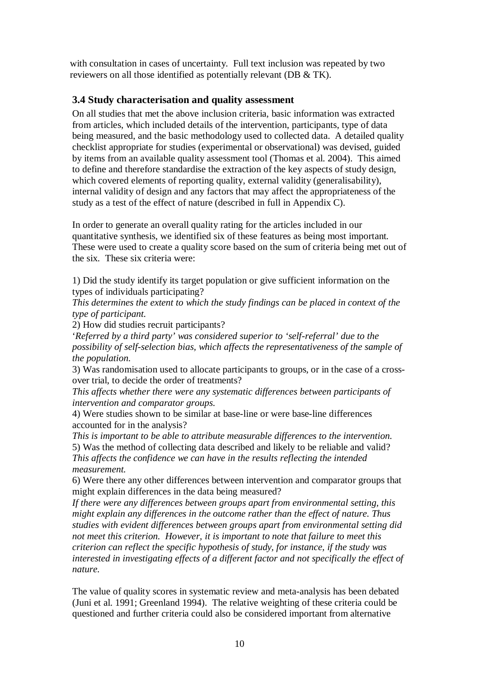with consultation in cases of uncertainty. Full text inclusion was repeated by two reviewers on all those identified as potentially relevant (DB & TK).

### **3.4 Study characterisation and quality assessment**

On all studies that met the above inclusion criteria, basic information was extracted from articles, which included details of the intervention, participants, type of data being measured, and the basic methodology used to collected data. A detailed quality checklist appropriate for studies (experimental or observational) was devised, guided by items from an available quality assessment tool (Thomas et al. 2004). This aimed to define and therefore standardise the extraction of the key aspects of study design, which covered elements of reporting quality, external validity (generalisability), internal validity of design and any factors that may affect the appropriateness of the study as a test of the effect of nature (described in full in Appendix C).

In order to generate an overall quality rating for the articles included in our quantitative synthesis, we identified six of these features as being most important. These were used to create a quality score based on the sum of criteria being met out of the six. These six criteria were:

1) Did the study identify its target population or give sufficient information on the types of individuals participating?

*This determines the extent to which the study findings can be placed in context of the type of participant.*

2) How did studies recruit participants?

'*Referred by a third party' was considered superior to 'self-referral' due to the possibility of self-selection bias, which affects the representativeness of the sample of the population.*

3) Was randomisation used to allocate participants to groups, or in the case of a crossover trial, to decide the order of treatments?

*This affects whether there were any systematic differences between participants of intervention and comparator groups.*

4) Were studies shown to be similar at base-line or were base-line differences accounted for in the analysis?

*This is important to be able to attribute measurable differences to the intervention.* 5) Was the method of collecting data described and likely to be reliable and valid? *This affects the confidence we can have in the results reflecting the intended measurement.*

6) Were there any other differences between intervention and comparator groups that might explain differences in the data being measured?

*If there were any differences between groups apart from environmental setting, this might explain any differences in the outcome rather than the effect of nature. Thus studies with evident differences between groups apart from environmental setting did not meet this criterion. However, it is important to note that failure to meet this criterion can reflect the specific hypothesis of study, for instance, if the study was interested in investigating effects of a different factor and not specifically the effect of nature.* 

The value of quality scores in systematic review and meta-analysis has been debated (Juni et al. 1991; Greenland 1994). The relative weighting of these criteria could be questioned and further criteria could also be considered important from alternative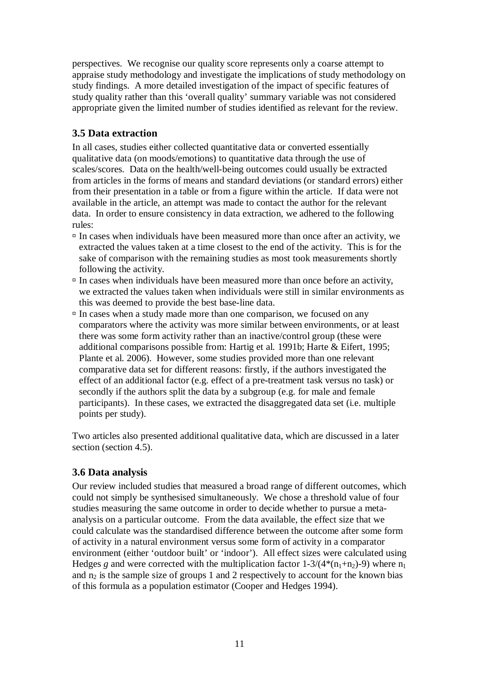perspectives. We recognise our quality score represents only a coarse attempt to appraise study methodology and investigate the implications of study methodology on study findings. A more detailed investigation of the impact of specific features of study quality rather than this 'overall quality' summary variable was not considered appropriate given the limited number of studies identified as relevant for the review.

### **3.5 Data extraction**

In all cases, studies either collected quantitative data or converted essentially qualitative data (on moods/emotions) to quantitative data through the use of scales/scores. Data on the health/well-being outcomes could usually be extracted from articles in the forms of means and standard deviations (or standard errors) either from their presentation in a table or from a figure within the article. If data were not available in the article, an attempt was made to contact the author for the relevant data. In order to ensure consistency in data extraction, we adhered to the following rules:

- $\Box$  In cases when individuals have been measured more than once after an activity, we extracted the values taken at a time closest to the end of the activity. This is for the sake of comparison with the remaining studies as most took measurements shortly following the activity.
- $\Box$  In cases when individuals have been measured more than once before an activity, we extracted the values taken when individuals were still in similar environments as this was deemed to provide the best base-line data.
- $\Box$  In cases when a study made more than one comparison, we focused on any comparators where the activity was more similar between environments, or at least there was some form activity rather than an inactive/control group (these were additional comparisons possible from: Hartig et al. 1991b; Harte & Eifert, 1995; Plante et al. 2006). However, some studies provided more than one relevant comparative data set for different reasons: firstly, if the authors investigated the effect of an additional factor (e.g. effect of a pre-treatment task versus no task) or secondly if the authors split the data by a subgroup (e.g. for male and female participants). In these cases, we extracted the disaggregated data set (i.e. multiple points per study).

Two articles also presented additional qualitative data, which are discussed in a later section (section 4.5).

### **3.6 Data analysis**

Our review included studies that measured a broad range of different outcomes, which could not simply be synthesised simultaneously. We chose a threshold value of four studies measuring the same outcome in order to decide whether to pursue a metaanalysis on a particular outcome. From the data available, the effect size that we could calculate was the standardised difference between the outcome after some form of activity in a natural environment versus some form of activity in a comparator environment (either 'outdoor built' or 'indoor'). All effect sizes were calculated using Hedges *g* and were corrected with the multiplication factor  $1-3/(4*(n_1+n_2)-9)$  where  $n_1$ and  $n_2$  is the sample size of groups 1 and 2 respectively to account for the known bias of this formula as a population estimator (Cooper and Hedges 1994).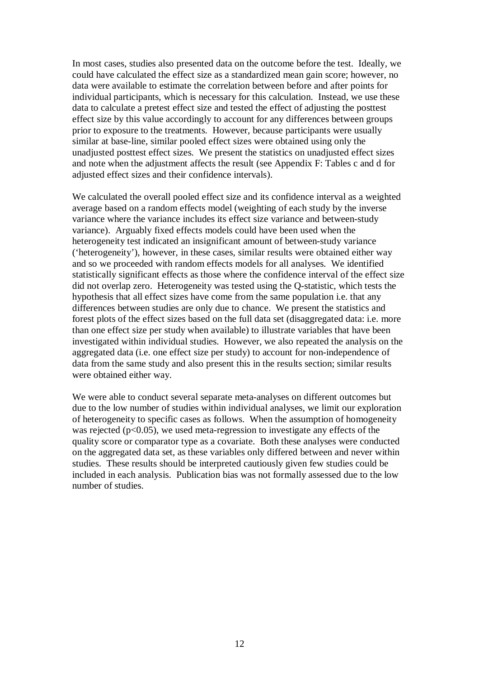In most cases, studies also presented data on the outcome before the test. Ideally, we could have calculated the effect size as a standardized mean gain score; however, no data were available to estimate the correlation between before and after points for individual participants, which is necessary for this calculation. Instead, we use these data to calculate a pretest effect size and tested the effect of adjusting the posttest effect size by this value accordingly to account for any differences between groups prior to exposure to the treatments. However, because participants were usually similar at base-line, similar pooled effect sizes were obtained using only the unadjusted posttest effect sizes. We present the statistics on unadjusted effect sizes and note when the adjustment affects the result (see Appendix F: Tables c and d for adjusted effect sizes and their confidence intervals).

We calculated the overall pooled effect size and its confidence interval as a weighted average based on a random effects model (weighting of each study by the inverse variance where the variance includes its effect size variance and between-study variance). Arguably fixed effects models could have been used when the heterogeneity test indicated an insignificant amount of between-study variance ('heterogeneity'), however, in these cases, similar results were obtained either way and so we proceeded with random effects models for all analyses. We identified statistically significant effects as those where the confidence interval of the effect size did not overlap zero. Heterogeneity was tested using the Q-statistic, which tests the hypothesis that all effect sizes have come from the same population i.e. that any differences between studies are only due to chance. We present the statistics and forest plots of the effect sizes based on the full data set (disaggregated data: i.e. more than one effect size per study when available) to illustrate variables that have been investigated within individual studies. However, we also repeated the analysis on the aggregated data (i.e. one effect size per study) to account for non-independence of data from the same study and also present this in the results section; similar results were obtained either way.

We were able to conduct several separate meta-analyses on different outcomes but due to the low number of studies within individual analyses, we limit our exploration of heterogeneity to specific cases as follows. When the assumption of homogeneity was rejected ( $p<0.05$ ), we used meta-regression to investigate any effects of the quality score or comparator type as a covariate. Both these analyses were conducted on the aggregated data set, as these variables only differed between and never within studies. These results should be interpreted cautiously given few studies could be included in each analysis. Publication bias was not formally assessed due to the low number of studies.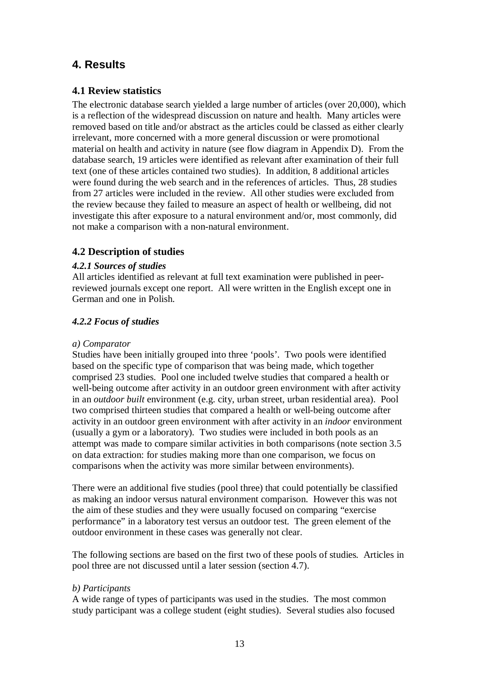## **4. Results**

### **4.1 Review statistics**

The electronic database search yielded a large number of articles (over 20,000), which is a reflection of the widespread discussion on nature and health. Many articles were removed based on title and/or abstract as the articles could be classed as either clearly irrelevant, more concerned with a more general discussion or were promotional material on health and activity in nature (see flow diagram in Appendix D). From the database search, 19 articles were identified as relevant after examination of their full text (one of these articles contained two studies). In addition, 8 additional articles were found during the web search and in the references of articles. Thus, 28 studies from 27 articles were included in the review. All other studies were excluded from the review because they failed to measure an aspect of health or wellbeing, did not investigate this after exposure to a natural environment and/or, most commonly, did not make a comparison with a non-natural environment.

### **4.2 Description of studies**

### *4.2.1 Sources of studies*

All articles identified as relevant at full text examination were published in peerreviewed journals except one report. All were written in the English except one in German and one in Polish.

### *4.2.2 Focus of studies*

### *a) Comparator*

Studies have been initially grouped into three 'pools'. Two pools were identified based on the specific type of comparison that was being made, which together comprised 23 studies. Pool one included twelve studies that compared a health or well-being outcome after activity in an outdoor green environment with after activity in an *outdoor built* environment (e.g. city, urban street, urban residential area). Pool two comprised thirteen studies that compared a health or well-being outcome after activity in an outdoor green environment with after activity in an *indoor* environment (usually a gym or a laboratory). Two studies were included in both pools as an attempt was made to compare similar activities in both comparisons (note section 3.5 on data extraction: for studies making more than one comparison, we focus on comparisons when the activity was more similar between environments).

There were an additional five studies (pool three) that could potentially be classified as making an indoor versus natural environment comparison. However this was not the aim of these studies and they were usually focused on comparing "exercise performance" in a laboratory test versus an outdoor test. The green element of the outdoor environment in these cases was generally not clear.

The following sections are based on the first two of these pools of studies. Articles in pool three are not discussed until a later session (section 4.7).

### *b) Participants*

A wide range of types of participants was used in the studies. The most common study participant was a college student (eight studies). Several studies also focused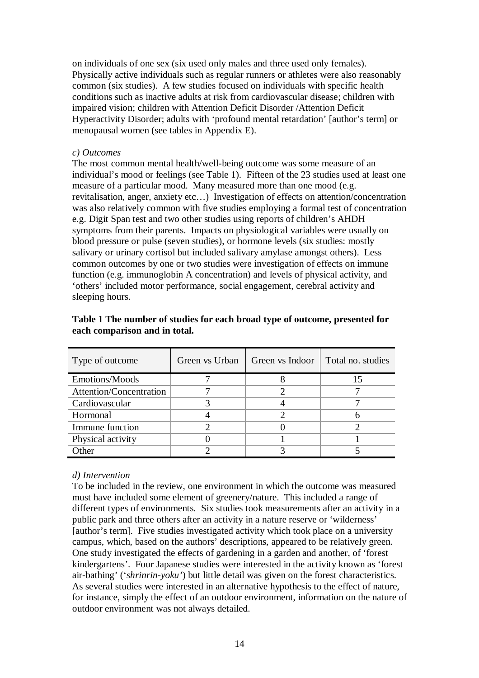on individuals of one sex (six used only males and three used only females). Physically active individuals such as regular runners or athletes were also reasonably common (six studies). A few studies focused on individuals with specific health conditions such as inactive adults at risk from cardiovascular disease; children with impaired vision; children with Attention Deficit Disorder /Attention Deficit Hyperactivity Disorder; adults with 'profound mental retardation' [author's term] or menopausal women (see tables in Appendix E).

#### *c) Outcomes*

The most common mental health/well-being outcome was some measure of an individual's mood or feelings (see Table 1). Fifteen of the 23 studies used at least one measure of a particular mood. Many measured more than one mood (e.g. revitalisation, anger, anxiety etc…) Investigation of effects on attention/concentration was also relatively common with five studies employing a formal test of concentration e.g. Digit Span test and two other studies using reports of children's AHDH symptoms from their parents. Impacts on physiological variables were usually on blood pressure or pulse (seven studies), or hormone levels (six studies: mostly salivary or urinary cortisol but included salivary amylase amongst others). Less common outcomes by one or two studies were investigation of effects on immune function (e.g. immunoglobin A concentration) and levels of physical activity, and 'others' included motor performance, social engagement, cerebral activity and sleeping hours.

| Type of outcome         | Green vs Urban | Green vs Indoor | Total no. studies |
|-------------------------|----------------|-----------------|-------------------|
| Emotions/Moods          |                |                 |                   |
| Attention/Concentration |                |                 |                   |
| Cardiovascular          |                |                 |                   |
| Hormonal                |                |                 |                   |
| Immune function         |                |                 |                   |
| Physical activity       |                |                 |                   |
| <b>Other</b>            |                |                 |                   |

**Table 1 The number of studies for each broad type of outcome, presented for each comparison and in total.**

### *d) Intervention*

To be included in the review, one environment in which the outcome was measured must have included some element of greenery/nature. This included a range of different types of environments. Six studies took measurements after an activity in a public park and three others after an activity in a nature reserve or 'wilderness' [author's term]. Five studies investigated activity which took place on a university campus, which, based on the authors' descriptions, appeared to be relatively green. One study investigated the effects of gardening in a garden and another, of 'forest kindergartens'. Four Japanese studies were interested in the activity known as 'forest air-bathing' ('*shrinrin-yoku'*) but little detail was given on the forest characteristics. As several studies were interested in an alternative hypothesis to the effect of nature, for instance, simply the effect of an outdoor environment, information on the nature of outdoor environment was not always detailed.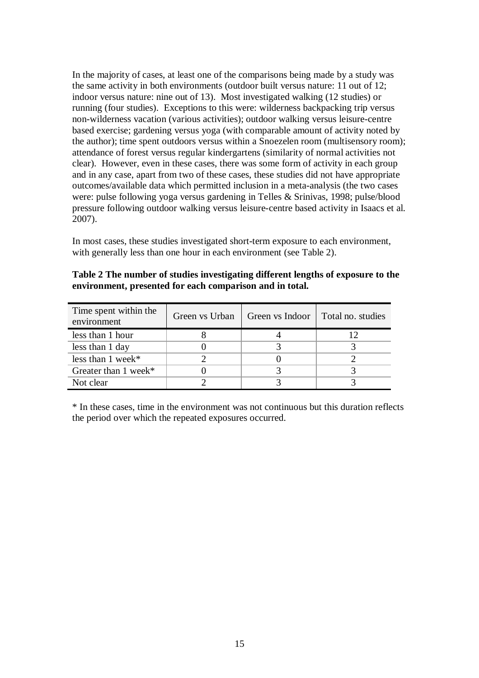In the majority of cases, at least one of the comparisons being made by a study was the same activity in both environments (outdoor built versus nature: 11 out of 12; indoor versus nature: nine out of 13). Most investigated walking (12 studies) or running (four studies). Exceptions to this were: wilderness backpacking trip versus non-wilderness vacation (various activities); outdoor walking versus leisure-centre based exercise; gardening versus yoga (with comparable amount of activity noted by the author); time spent outdoors versus within a Snoezelen room (multisensory room); attendance of forest versus regular kindergartens (similarity of normal activities not clear). However, even in these cases, there was some form of activity in each group and in any case, apart from two of these cases, these studies did not have appropriate outcomes/available data which permitted inclusion in a meta-analysis (the two cases were: pulse following yoga versus gardening in Telles & Srinivas, 1998; pulse/blood pressure following outdoor walking versus leisure-centre based activity in Isaacs et al. 2007).

In most cases, these studies investigated short-term exposure to each environment, with generally less than one hour in each environment (see Table 2).

| Table 2 The number of studies investigating different lengths of exposure to the |
|----------------------------------------------------------------------------------|
| environment, presented for each comparison and in total.                         |

| Time spent within the<br>environment | Green vs Urban | Green vs Indoor | Total no. studies |
|--------------------------------------|----------------|-----------------|-------------------|
| less than 1 hour                     |                |                 |                   |
| less than 1 day                      |                |                 |                   |
| less than $1$ week*                  |                |                 |                   |
| Greater than $1$ week*               |                |                 |                   |
| Not clear                            |                |                 |                   |

\* In these cases, time in the environment was not continuous but this duration reflects the period over which the repeated exposures occurred.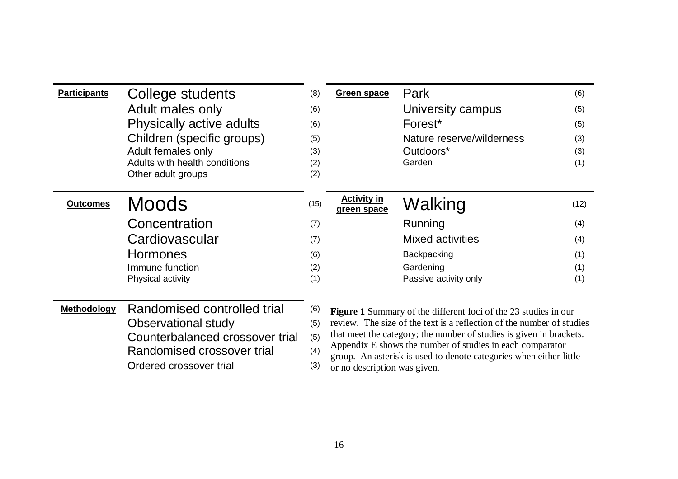| <b>Participants</b> | College students                | (8)  | Green space                                                                                                                     | Park                                                                   | (6)  |
|---------------------|---------------------------------|------|---------------------------------------------------------------------------------------------------------------------------------|------------------------------------------------------------------------|------|
|                     | Adult males only                | (6)  |                                                                                                                                 | University campus                                                      | (5)  |
|                     | Physically active adults        | (6)  |                                                                                                                                 | Forest <sup>*</sup>                                                    | (5)  |
|                     | Children (specific groups)      | (5)  |                                                                                                                                 | Nature reserve/wilderness                                              | (3)  |
|                     | Adult females only              | (3)  |                                                                                                                                 | Outdoors*                                                              | (3)  |
|                     | Adults with health conditions   | (2)  |                                                                                                                                 | Garden                                                                 | (1)  |
|                     | Other adult groups              | (2)  |                                                                                                                                 |                                                                        |      |
| <b>Outcomes</b>     | <b>Moods</b>                    | (15) | <b>Activity in</b>                                                                                                              |                                                                        | (12) |
|                     |                                 |      | green space                                                                                                                     | Walking                                                                |      |
|                     | Concentration                   | (7)  |                                                                                                                                 | Running                                                                | (4)  |
|                     | Cardiovascular                  | (7)  |                                                                                                                                 | <b>Mixed activities</b>                                                | (4)  |
|                     | <b>Hormones</b>                 | (6)  |                                                                                                                                 | Backpacking                                                            | (1)  |
|                     | Immune function                 | (2)  |                                                                                                                                 | Gardening                                                              | (1)  |
|                     | Physical activity               | (1)  |                                                                                                                                 | Passive activity only                                                  | (1)  |
|                     |                                 |      |                                                                                                                                 |                                                                        |      |
| <b>Methodology</b>  | Randomised controlled trial     | (6)  |                                                                                                                                 | <b>Figure 1</b> Summary of the different foci of the 23 studies in our |      |
|                     | Observational study             |      | review. The size of the text is a reflection of the number of studies<br>(5)                                                    |                                                                        |      |
|                     | Counterbalanced crossover trial |      | that meet the category; the number of studies is given in brackets.<br>(5)                                                      |                                                                        |      |
|                     | Randomised crossover trial      | (4)  | Appendix E shows the number of studies in each comparator<br>group. An asterisk is used to denote categories when either little |                                                                        |      |
|                     | Ordered crossover trial         | (3)  | or no description was given.                                                                                                    |                                                                        |      |

(3) or no description was given.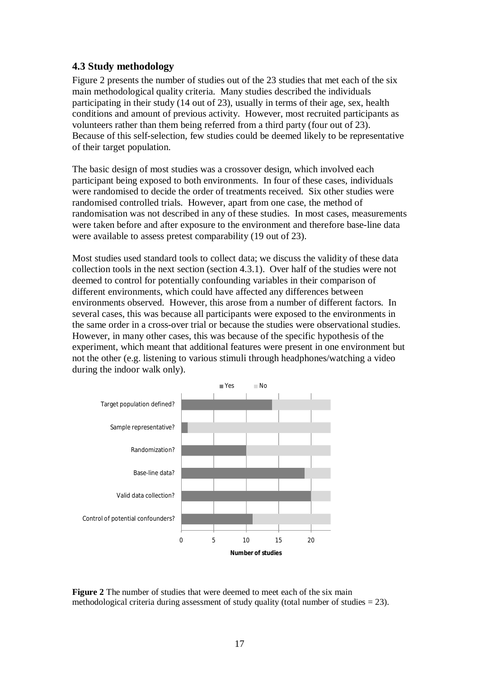### **4.3 Study methodology**

Figure 2 presents the number of studies out of the 23 studies that met each of the six main methodological quality criteria. Many studies described the individuals participating in their study (14 out of 23), usually in terms of their age, sex, health conditions and amount of previous activity. However, most recruited participants as volunteers rather than them being referred from a third party (four out of 23). Because of this self-selection, few studies could be deemed likely to be representative of their target population.

The basic design of most studies was a crossover design, which involved each participant being exposed to both environments. In four of these cases, individuals were randomised to decide the order of treatments received. Six other studies were randomised controlled trials. However, apart from one case, the method of randomisation was not described in any of these studies. In most cases, measurements were taken before and after exposure to the environment and therefore base-line data were available to assess pretest comparability (19 out of 23).

Most studies used standard tools to collect data; we discuss the validity of these data collection tools in the next section (section 4.3.1). Over half of the studies were not deemed to control for potentially confounding variables in their comparison of different environments, which could have affected any differences between environments observed. However, this arose from a number of different factors. In several cases, this was because all participants were exposed to the environments in the same order in a cross-over trial or because the studies were observational studies. However, in many other cases, this was because of the specific hypothesis of the experiment, which meant that additional features were present in one environment but not the other (e.g. listening to various stimuli through headphones/watching a video during the indoor walk only).



**Figure 2** The number of studies that were deemed to meet each of the six main methodological criteria during assessment of study quality (total number of studies  $= 23$ ).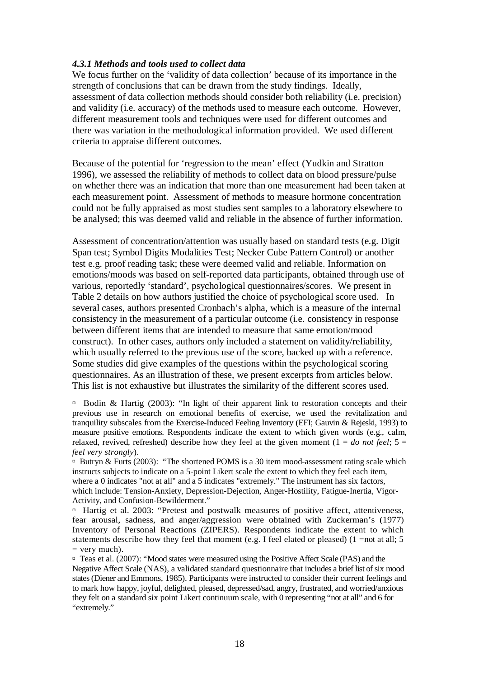#### *4.3.1 Methods and tools used to collect data*

We focus further on the 'validity of data collection' because of its importance in the strength of conclusions that can be drawn from the study findings. Ideally, assessment of data collection methods should consider both reliability (i.e. precision) and validity (i.e. accuracy) of the methods used to measure each outcome. However, different measurement tools and techniques were used for different outcomes and there was variation in the methodological information provided. We used different criteria to appraise different outcomes.

Because of the potential for 'regression to the mean' effect (Yudkin and Stratton 1996), we assessed the reliability of methods to collect data on blood pressure/pulse on whether there was an indication that more than one measurement had been taken at each measurement point. Assessment of methods to measure hormone concentration could not be fully appraised as most studies sent samples to a laboratory elsewhere to be analysed; this was deemed valid and reliable in the absence of further information.

Assessment of concentration/attention was usually based on standard tests (e.g. Digit Span test; Symbol Digits Modalities Test; Necker Cube Pattern Control) or another test e.g. proof reading task; these were deemed valid and reliable. Information on emotions/moods was based on self-reported data participants, obtained through use of various, reportedly 'standard', psychological questionnaires/scores. We present in Table 2 details on how authors justified the choice of psychological score used. In several cases, authors presented Cronbach's alpha, which is a measure of the internal consistency in the measurement of a particular outcome (i.e. consistency in response between different items that are intended to measure that same emotion/mood construct). In other cases, authors only included a statement on validity/reliability, which usually referred to the previous use of the score, backed up with a reference. Some studies did give examples of the questions within the psychological scoring questionnaires. As an illustration of these, we present excerpts from articles below. This list is not exhaustive but illustrates the similarity of the different scores used.

 $\Box$  Bodin & Hartig (2003): "In light of their apparent link to restoration concepts and their previous use in research on emotional benefits of exercise, we used the revitalization and tranquility subscales from the Exercise-Induced Feeling Inventory (EFI; Gauvin & Rejeski, 1993) to measure positive emotions. Respondents indicate the extent to which given words (e.g., calm, relaxed, revived, refreshed) describe how they feel at the given moment ( $1 = do$  *not feel*;  $5 =$ *feel very strongly*).

 $\overline{B}$  Butryn & Furts (2003): "The shortened POMS is a 30 item mood-assessment rating scale which instructs subjects to indicate on a 5-point Likert scale the extent to which they feel each item, where a 0 indicates "not at all" and a 5 indicates "extremely." The instrument has six factors, which include: Tension-Anxiety, Depression-Dejection, Anger-Hostility, Fatigue-Inertia, Vigor-Activity, and Confusion-Bewilderment."

□ Hartig et al. 2003: "Pretest and postwalk measures of positive affect, attentiveness, fear arousal, sadness, and anger/aggression were obtained with Zuckerman's (1977) Inventory of Personal Reactions (ZIPERS). Respondents indicate the extent to which statements describe how they feel that moment (e.g. I feel elated or pleased)  $(1 = not at all; 5)$  $=$  very much).

 Teas et al. (2007): "Mood states were measured using the Positive Affect Scale (PAS) and the Negative Affect Scale (NAS), a validated standard questionnaire that includes a brief list of six mood states (Diener and Emmons, 1985). Participants were instructed to consider their current feelings and to mark how happy, joyful, delighted, pleased, depressed/sad, angry, frustrated, and worried/anxious they felt on a standard six point Likert continuum scale, with 0 representing "not at all" and 6 for "extremely."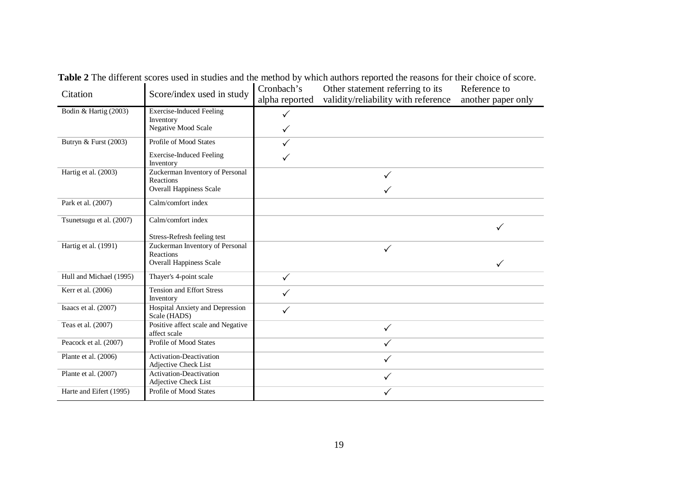| Citation                 | Score/index used in study                                      | Cronbach's<br>alpha reported | Reference to<br>another paper only |              |
|--------------------------|----------------------------------------------------------------|------------------------------|------------------------------------|--------------|
| Bodin & Hartig (2003)    | <b>Exercise-Induced Feeling</b>                                |                              |                                    |              |
|                          | Inventory<br>Negative Mood Scale                               | $\checkmark$                 |                                    |              |
| Butryn & Furst (2003)    | Profile of Mood States                                         |                              |                                    |              |
|                          | <b>Exercise-Induced Feeling</b><br>Inventory                   |                              |                                    |              |
| Hartig et al. (2003)     | Zuckerman Inventory of Personal                                |                              | ✓                                  |              |
|                          | Reactions<br><b>Overall Happiness Scale</b>                    |                              |                                    |              |
| Park et al. (2007)       | Calm/comfort index                                             |                              |                                    |              |
| Tsunetsugu et al. (2007) | Calm/comfort index                                             |                              |                                    | $\checkmark$ |
| Hartig et al. (1991)     | Stress-Refresh feeling test<br>Zuckerman Inventory of Personal |                              |                                    |              |
|                          | <b>Reactions</b>                                               |                              | $\checkmark$                       |              |
|                          | <b>Overall Happiness Scale</b>                                 |                              |                                    | $\checkmark$ |
| Hull and Michael (1995)  | Thayer's 4-point scale                                         | $\checkmark$                 |                                    |              |
| Kerr et al. (2006)       | <b>Tension and Effort Stress</b><br>Inventory                  | $\checkmark$                 |                                    |              |
| Isaacs et al. (2007)     | Hospital Anxiety and Depression<br>Scale (HADS)                | $\checkmark$                 |                                    |              |
| Teas et al. (2007)       | Positive affect scale and Negative<br>affect scale             |                              | $\checkmark$                       |              |
| Peacock et al. (2007)    | Profile of Mood States                                         |                              | ✓                                  |              |
| Plante et al. (2006)     | Activation-Deactivation<br>Adjective Check List                |                              | $\checkmark$                       |              |
| Plante et al. (2007)     | Activation-Deactivation<br>Adjective Check List                |                              | $\checkmark$                       |              |
| Harte and Eifert (1995)  | Profile of Mood States                                         |                              | ✓                                  |              |

**Table 2** The different scores used in studies and the method by which authors reported the reasons for their choice of score.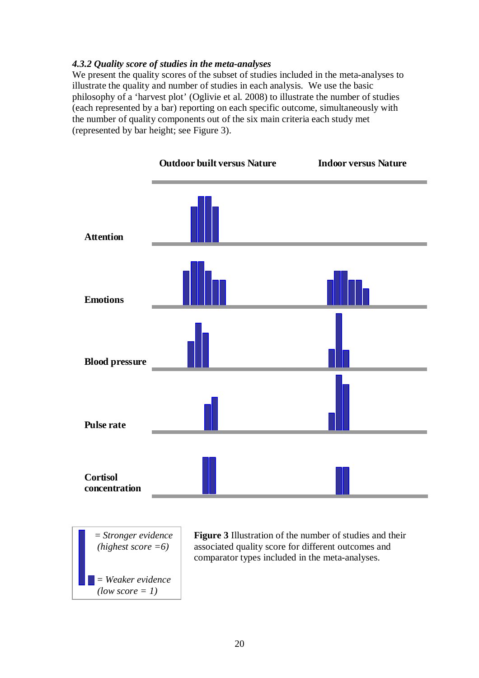### *4.3.2 Quality score of studies in the meta-analyses*

We present the quality scores of the subset of studies included in the meta-analyses to illustrate the quality and number of studies in each analysis. We use the basic philosophy of a 'harvest plot' (Oglivie et al. 2008) to illustrate the number of studies (each represented by a bar) reporting on each specific outcome, simultaneously with the number of quality components out of the six main criteria each study met (represented by bar height; see Figure 3).





**Figure 3** Illustration of the number of studies and their associated quality score for different outcomes and comparator types included in the meta-analyses.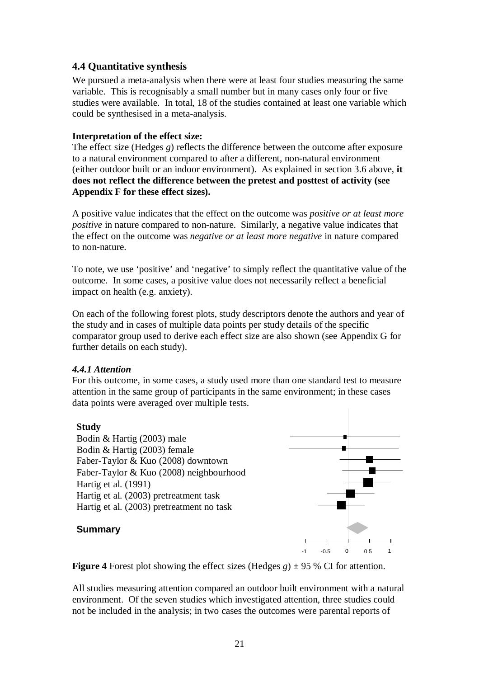### **4.4 Quantitative synthesis**

We pursued a meta-analysis when there were at least four studies measuring the same variable. This is recognisably a small number but in many cases only four or five studies were available. In total, 18 of the studies contained at least one variable which could be synthesised in a meta-analysis.

### **Interpretation of the effect size:**

The effect size (Hedges *g*) reflects the difference between the outcome after exposure to a natural environment compared to after a different, non-natural environment (either outdoor built or an indoor environment). As explained in section 3.6 above, **it does not reflect the difference between the pretest and posttest of activity (see Appendix F for these effect sizes).**

A positive value indicates that the effect on the outcome was *positive or at least more positive* in nature compared to non-nature. Similarly, a negative value indicates that the effect on the outcome was *negative or at least more negative* in nature compared to non-nature.

To note, we use 'positive' and 'negative' to simply reflect the quantitative value of the outcome. In some cases, a positive value does not necessarily reflect a beneficial impact on health (e.g. anxiety).

On each of the following forest plots, study descriptors denote the authors and year of the study and in cases of multiple data points per study details of the specific comparator group used to derive each effect size are also shown (see Appendix G for further details on each study).

### *4.4.1 Attention*

For this outcome, in some cases, a study used more than one standard test to measure attention in the same group of participants in the same environment; in these cases data points were averaged over multiple tests.

### **Study**

Bodin & Hartig (2003) male Bodin & Hartig (2003) female Faber-Taylor & Kuo (2008) downtown Faber-Taylor & Kuo (2008) neighbourhood Hartig et al. (1991) Hartig et al. (2003) pretreatment task Hartig et al. (2003) pretreatment no task



### **Summary**

**Figure 4** Forest plot showing the effect sizes (Hedges  $g$ )  $\pm$  95 % CI for attention.

All studies measuring attention compared an outdoor built environment with a natural environment. Of the seven studies which investigated attention, three studies could not be included in the analysis; in two cases the outcomes were parental reports of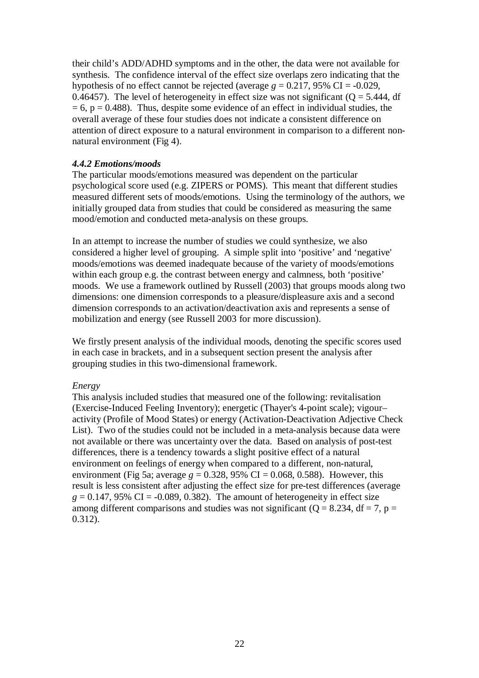their child's ADD/ADHD symptoms and in the other, the data were not available for synthesis. The confidence interval of the effect size overlaps zero indicating that the hypothesis of no effect cannot be rejected (average  $g = 0.217, 95\% \text{ CI} = -0.029$ , 0.46457). The level of heterogeneity in effect size was not significant ( $Q = 5.444$ , df  $= 6$ ,  $p = 0.488$ ). Thus, despite some evidence of an effect in individual studies, the overall average of these four studies does not indicate a consistent difference on attention of direct exposure to a natural environment in comparison to a different nonnatural environment (Fig 4).

#### *4.4.2 Emotions/moods*

The particular moods/emotions measured was dependent on the particular psychological score used (e.g. ZIPERS or POMS). This meant that different studies measured different sets of moods/emotions. Using the terminology of the authors, we initially grouped data from studies that could be considered as measuring the same mood/emotion and conducted meta-analysis on these groups.

In an attempt to increase the number of studies we could synthesize, we also considered a higher level of grouping. A simple split into 'positive' and 'negative' moods/emotions was deemed inadequate because of the variety of moods/emotions within each group e.g. the contrast between energy and calmness, both 'positive' moods. We use a framework outlined by Russell (2003) that groups moods along two dimensions: one dimension corresponds to a pleasure/displeasure axis and a second dimension corresponds to an activation/deactivation axis and represents a sense of mobilization and energy (see Russell 2003 for more discussion).

We firstly present analysis of the individual moods, denoting the specific scores used in each case in brackets, and in a subsequent section present the analysis after grouping studies in this two-dimensional framework.

#### *Energy*

This analysis included studies that measured one of the following: revitalisation (Exercise-Induced Feeling Inventory); energetic (Thayer's 4-point scale); vigour– activity (Profile of Mood States) or energy (Activation-Deactivation Adjective Check List). Two of the studies could not be included in a meta-analysis because data were not available or there was uncertainty over the data. Based on analysis of post-test differences, there is a tendency towards a slight positive effect of a natural environment on feelings of energy when compared to a different, non-natural, environment (Fig 5a; average  $g = 0.328$ , 95% CI = 0.068, 0.588). However, this result is less consistent after adjusting the effect size for pre-test differences (average  $g = 0.147$ , 95% CI = -0.089, 0.382). The amount of heterogeneity in effect size among different comparisons and studies was not significant ( $Q = 8.234$ , df = 7, p = 0.312).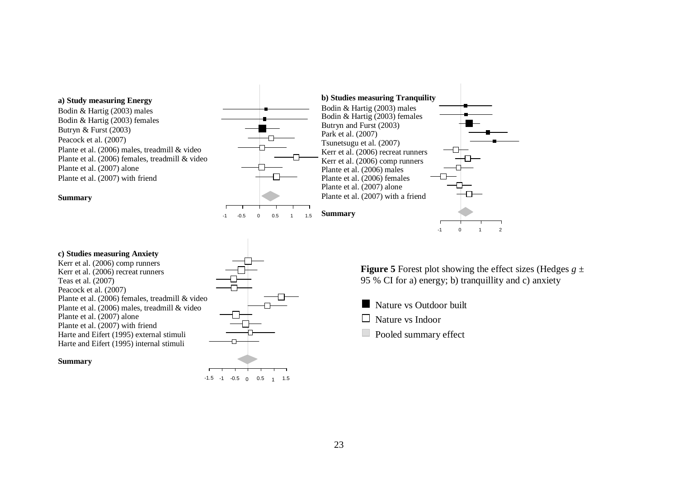

**c) Studies measuring Anxiety** Kerr et al. (2006) comp runners Kerr et al. (2006) recreat runners Teas et al. (2007) Peacock et al. (2007) Plante et al. (2006) females, treadmill & video Plante et al. (2006) males, treadmill & video Plante et al. (2007) alone Plante et al. (2007) with friend Harte and Eifert (1995) external stimuli Harte and Eifert (1995) internal stimuli

#### **Summary**

-1.5 -1 -0.5 0 0.5 1 1.5

**Figure 5** Forest plot showing the effect sizes (Hedges  $g \pm$ 95 % CI for a) energy; b) tranquillity and c) anxiety

- **Nature vs Outdoor built**
- $\Box$  Nature vs Indoor
- Pooled summary effect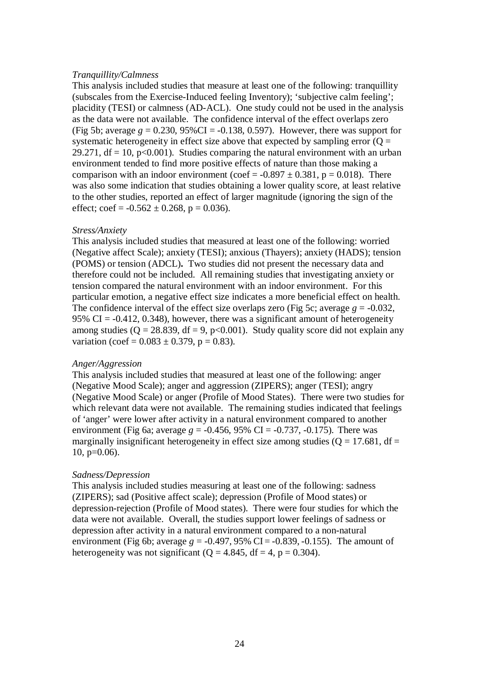#### *Tranquillity/Calmness*

This analysis included studies that measure at least one of the following: tranquillity (subscales from the Exercise-Induced feeling Inventory); 'subjective calm feeling'; placidity (TESI) or calmness (AD-ACL). One study could not be used in the analysis as the data were not available. The confidence interval of the effect overlaps zero (Fig 5b; average  $g = 0.230, 95\%$ CI =  $-0.138, 0.597$ ). However, there was support for systematic heterogeneity in effect size above that expected by sampling error  $(Q =$ 29.271,  $df = 10$ ,  $p < 0.001$ ). Studies comparing the natural environment with an urban environment tended to find more positive effects of nature than those making a comparison with an indoor environment (coef =  $-0.897 \pm 0.381$ , p = 0.018). There was also some indication that studies obtaining a lower quality score, at least relative to the other studies, reported an effect of larger magnitude (ignoring the sign of the effect;  $\text{coef} = -0.562 \pm 0.268$ ,  $p = 0.036$ ).

#### *Stress/Anxiety*

This analysis included studies that measured at least one of the following: worried (Negative affect Scale); anxiety (TESI); anxious (Thayers); anxiety (HADS); tension (POMS) or tension (ADCL)**.** Two studies did not present the necessary data and therefore could not be included. All remaining studies that investigating anxiety or tension compared the natural environment with an indoor environment. For this particular emotion, a negative effect size indicates a more beneficial effect on health. The confidence interval of the effect size overlaps zero (Fig 5c; average  $g = -0.032$ , 95% CI =  $-0.412$ , 0.348), however, there was a significant amount of heterogeneity among studies ( $Q = 28.839$ , df = 9, p<0.001). Study quality score did not explain any variation (coef =  $0.083 \pm 0.379$ , p = 0.83).

#### *Anger/Aggression*

This analysis included studies that measured at least one of the following: anger (Negative Mood Scale); anger and aggression (ZIPERS); anger (TESI); angry (Negative Mood Scale) or anger (Profile of Mood States). There were two studies for which relevant data were not available. The remaining studies indicated that feelings of 'anger' were lower after activity in a natural environment compared to another environment (Fig 6a; average  $g = -0.456$ , 95% CI =  $-0.737$ ,  $-0.175$ ). There was marginally insignificant heterogeneity in effect size among studies ( $Q = 17.681$ , df =  $10, p=0.06$ ).

#### *Sadness/Depression*

This analysis included studies measuring at least one of the following: sadness (ZIPERS); sad (Positive affect scale); depression (Profile of Mood states) or depression-rejection (Profile of Mood states). There were four studies for which the data were not available. Overall, the studies support lower feelings of sadness or depression after activity in a natural environment compared to a non-natural environment (Fig 6b; average  $g = -0.497, 95\%$  CI =  $-0.839, -0.155$ ). The amount of heterogeneity was not significant ( $Q = 4.845$ , df = 4, p = 0.304).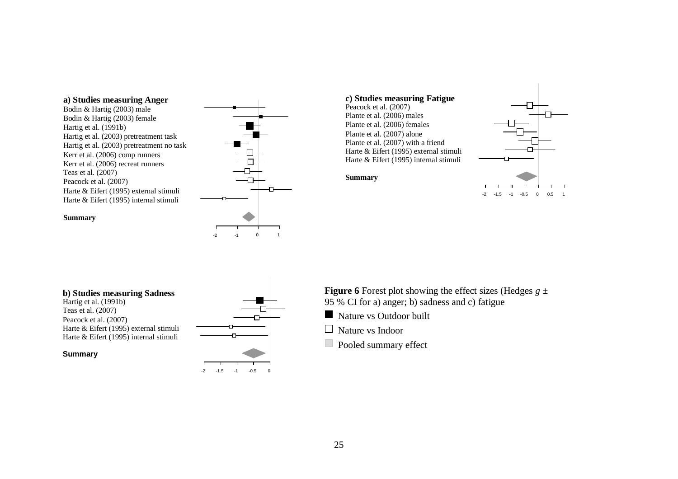#### **a) Studies measuring Anger**

#### Bodin & Hartig (2003) male Bodin & Hartig (2003) female Hartig et al. (1991b) Hartig et al. (2003) pretreatment task Hartig et al. (2003) pretreatment no task Kerr et al. (2006) comp runners Kerr et al. (2006) recreat runners Teas et al. (2007) Peacock et al. (2007) Harte & Eifert (1995) external stimuli Harte & Eifert (1995) internal stimuli





**Summary**



#### **Summary**

#### **b) Studies measuring Sadness** Hartig et al. (1991b) Teas et al. (2007) Peacock et al. (2007) Harte & Eifert (1995) external stimuli Harte & Eifert (1995) internal stimuli

#### **Summary**



### **Figure 6** Forest plot showing the effect sizes (Hedges  $g \pm$ 95 % CI for a) anger; b) sadness and c) fatigue

- Nature vs Outdoor built
- □ Nature vs Indoor
- Pooled summary effect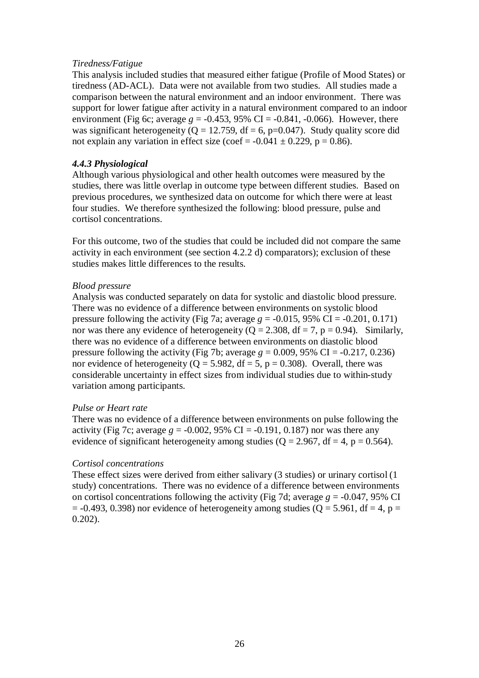#### *Tiredness/Fatigue*

This analysis included studies that measured either fatigue (Profile of Mood States) or tiredness (AD-ACL). Data were not available from two studies. All studies made a comparison between the natural environment and an indoor environment. There was support for lower fatigue after activity in a natural environment compared to an indoor environment (Fig 6c; average  $g = -0.453$ , 95% CI =  $-0.841$ ,  $-0.066$ ). However, there was significant heterogeneity ( $Q = 12.759$ , df = 6, p=0.047). Study quality score did not explain any variation in effect size (coef =  $-0.041 \pm 0.229$ , p = 0.86).

### *4.4.3 Physiological*

Although various physiological and other health outcomes were measured by the studies, there was little overlap in outcome type between different studies. Based on previous procedures, we synthesized data on outcome for which there were at least four studies. We therefore synthesized the following: blood pressure, pulse and cortisol concentrations.

For this outcome, two of the studies that could be included did not compare the same activity in each environment (see section 4.2.2 d) comparators); exclusion of these studies makes little differences to the results.

#### *Blood pressure*

Analysis was conducted separately on data for systolic and diastolic blood pressure. There was no evidence of a difference between environments on systolic blood pressure following the activity (Fig 7a; average  $g = -0.015$ , 95% CI =  $-0.201$ , 0.171) nor was there any evidence of heterogeneity ( $Q = 2.308$ , df = 7, p = 0.94). Similarly, there was no evidence of a difference between environments on diastolic blood pressure following the activity (Fig 7b; average  $g = 0.009$ , 95% CI = -0.217, 0.236) nor evidence of heterogeneity ( $Q = 5.982$ , df = 5, p = 0.308). Overall, there was considerable uncertainty in effect sizes from individual studies due to within-study variation among participants.

### *Pulse or Heart rate*

There was no evidence of a difference between environments on pulse following the activity (Fig 7c; average  $g = -0.002$ , 95% CI =  $-0.191$ , 0.187) nor was there any evidence of significant heterogeneity among studies ( $Q = 2.967$ , df = 4, p = 0.564).

### *Cortisol concentrations*

These effect sizes were derived from either salivary (3 studies) or urinary cortisol (1 study) concentrations. There was no evidence of a difference between environments on cortisol concentrations following the activity (Fig 7d; average  $g = -0.047$ , 95% CI  $= -0.493, 0.398$ ) nor evidence of heterogeneity among studies ( $Q = 5.961$ , df = 4, p = 0.202).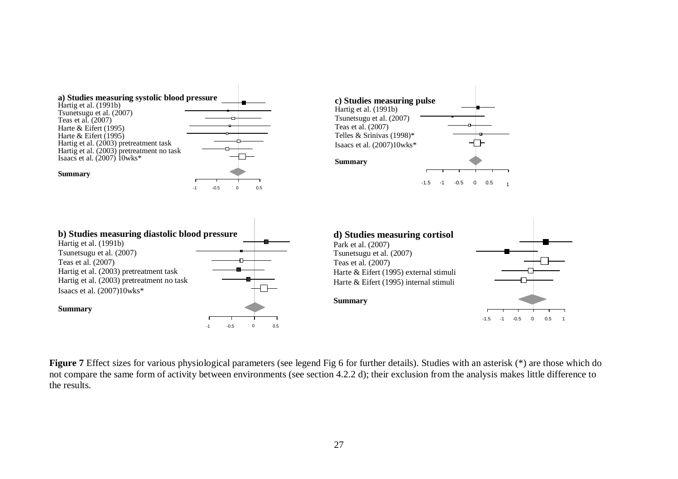

**Figure 7** Effect sizes for various physiological parameters (see legend Fig 6 for further details). Studies with an asterisk (\*) are those which do not compare the same form of activity between environments (see section 4.2.2 d); their exclusion from the analysis makes little difference to the results.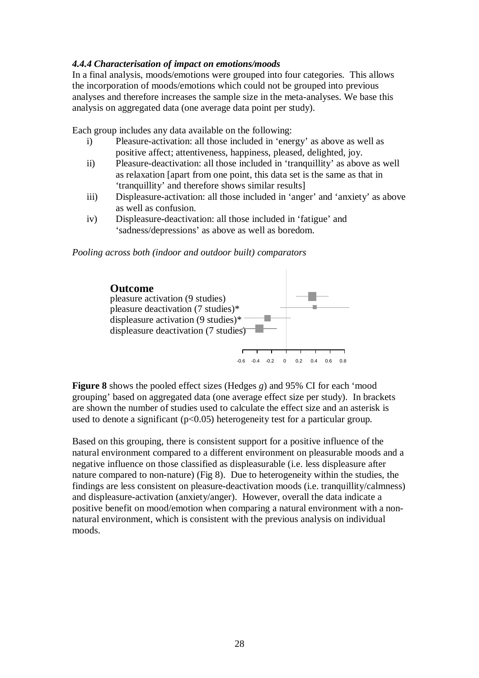### *4.4.4 Characterisation of impact on emotions/moods*

In a final analysis, moods/emotions were grouped into four categories. This allows the incorporation of moods/emotions which could not be grouped into previous analyses and therefore increases the sample size in the meta-analyses. We base this analysis on aggregated data (one average data point per study).

Each group includes any data available on the following:

- i) Pleasure-activation: all those included in 'energy' as above as well as positive affect; attentiveness, happiness, pleased, delighted, joy.
- ii) Pleasure-deactivation: all those included in 'tranquillity' as above as well as relaxation [apart from one point, this data set is the same as that in 'tranquillity' and therefore shows similar results]
- iii) Displeasure-activation: all those included in 'anger' and 'anxiety' as above as well as confusion.
- iv) Displeasure-deactivation: all those included in 'fatigue' and 'sadness/depressions' as above as well as boredom.

#### *Pooling across both (indoor and outdoor built) comparators*



**Figure 8** shows the pooled effect sizes (Hedges *g*) and 95% CI for each 'mood grouping' based on aggregated data (one average effect size per study). In brackets are shown the number of studies used to calculate the effect size and an asterisk is used to denote a significant  $(p<0.05)$  heterogeneity test for a particular group.

Based on this grouping, there is consistent support for a positive influence of the natural environment compared to a different environment on pleasurable moods and a negative influence on those classified as displeasurable (i.e. less displeasure after nature compared to non-nature) (Fig 8). Due to heterogeneity within the studies, the findings are less consistent on pleasure-deactivation moods (i.e. tranquillity/calmness) and displeasure-activation (anxiety/anger). However, overall the data indicate a positive benefit on mood/emotion when comparing a natural environment with a nonnatural environment, which is consistent with the previous analysis on individual moods.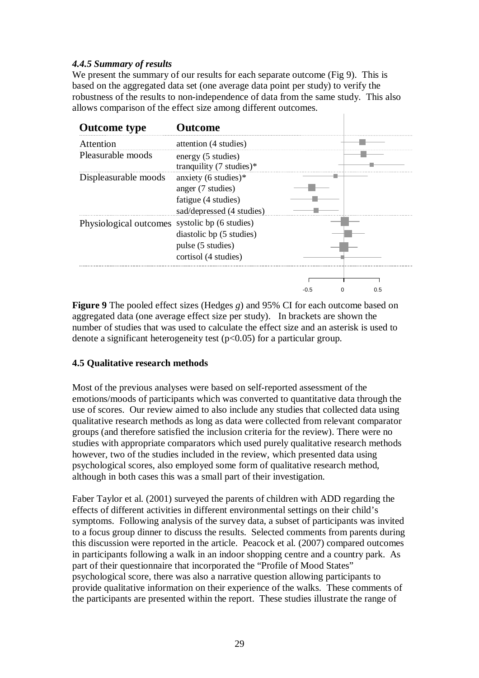### *4.4.5 Summary of results*

We present the summary of our results for each separate outcome (Fig 9). This is based on the aggregated data set (one average data point per study) to verify the robustness of the results to non-independence of data from the same study. This also allows comparison of the effect size among different outcomes.



**Figure 9** The pooled effect sizes (Hedges *g*) and 95% CI for each outcome based on aggregated data (one average effect size per study). In brackets are shown the number of studies that was used to calculate the effect size and an asterisk is used to denote a significant heterogeneity test ( $p<0.05$ ) for a particular group.

### **4.5 Qualitative research methods**

Most of the previous analyses were based on self-reported assessment of the emotions/moods of participants which was converted to quantitative data through the use of scores. Our review aimed to also include any studies that collected data using qualitative research methods as long as data were collected from relevant comparator groups (and therefore satisfied the inclusion criteria for the review). There were no studies with appropriate comparators which used purely qualitative research methods however, two of the studies included in the review, which presented data using psychological scores, also employed some form of qualitative research method, although in both cases this was a small part of their investigation.

Faber Taylor et al. (2001) surveyed the parents of children with ADD regarding the effects of different activities in different environmental settings on their child's symptoms. Following analysis of the survey data, a subset of participants was invited to a focus group dinner to discuss the results. Selected comments from parents during this discussion were reported in the article. Peacock et al. (2007) compared outcomes in participants following a walk in an indoor shopping centre and a country park. As part of their questionnaire that incorporated the "Profile of Mood States" psychological score, there was also a narrative question allowing participants to provide qualitative information on their experience of the walks. These comments of the participants are presented within the report. These studies illustrate the range of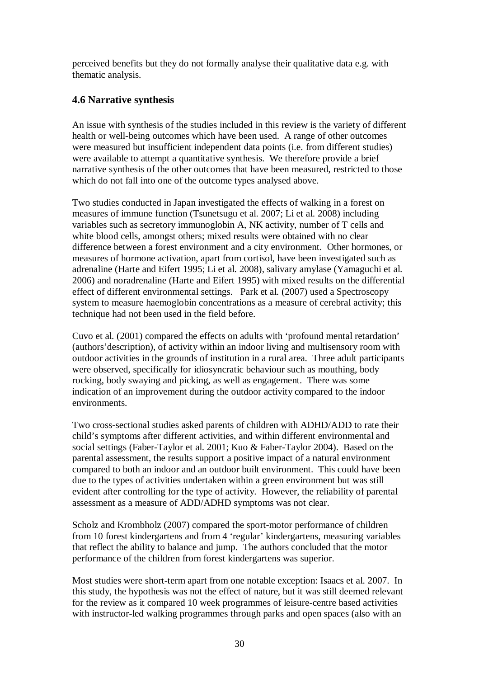perceived benefits but they do not formally analyse their qualitative data e.g. with thematic analysis.

### **4.6 Narrative synthesis**

An issue with synthesis of the studies included in this review is the variety of different health or well-being outcomes which have been used. A range of other outcomes were measured but insufficient independent data points (i.e. from different studies) were available to attempt a quantitative synthesis. We therefore provide a brief narrative synthesis of the other outcomes that have been measured, restricted to those which do not fall into one of the outcome types analysed above.

Two studies conducted in Japan investigated the effects of walking in a forest on measures of immune function (Tsunetsugu et al. 2007; Li et al. 2008) including variables such as secretory immunoglobin A, NK activity, number of T cells and white blood cells, amongst others; mixed results were obtained with no clear difference between a forest environment and a city environment. Other hormones, or measures of hormone activation, apart from cortisol, have been investigated such as adrenaline (Harte and Eifert 1995; Li et al. 2008), salivary amylase (Yamaguchi et al. 2006) and noradrenaline (Harte and Eifert 1995) with mixed results on the differential effect of different environmental settings. Park et al. (2007) used a Spectroscopy system to measure haemoglobin concentrations as a measure of cerebral activity; this technique had not been used in the field before.

Cuvo et al. (2001) compared the effects on adults with 'profound mental retardation' (authors'description), of activity within an indoor living and multisensory room with outdoor activities in the grounds of institution in a rural area. Three adult participants were observed, specifically for idiosyncratic behaviour such as mouthing, body rocking, body swaying and picking, as well as engagement. There was some indication of an improvement during the outdoor activity compared to the indoor environments.

Two cross-sectional studies asked parents of children with ADHD/ADD to rate their child's symptoms after different activities, and within different environmental and social settings (Faber-Taylor et al. 2001; Kuo & Faber-Taylor 2004). Based on the parental assessment, the results support a positive impact of a natural environment compared to both an indoor and an outdoor built environment. This could have been due to the types of activities undertaken within a green environment but was still evident after controlling for the type of activity. However, the reliability of parental assessment as a measure of ADD/ADHD symptoms was not clear.

Scholz and Krombholz (2007) compared the sport-motor performance of children from 10 forest kindergartens and from 4 'regular' kindergartens, measuring variables that reflect the ability to balance and jump. The authors concluded that the motor performance of the children from forest kindergartens was superior.

Most studies were short-term apart from one notable exception: Isaacs et al. 2007. In this study, the hypothesis was not the effect of nature, but it was still deemed relevant for the review as it compared 10 week programmes of leisure-centre based activities with instructor-led walking programmes through parks and open spaces (also with an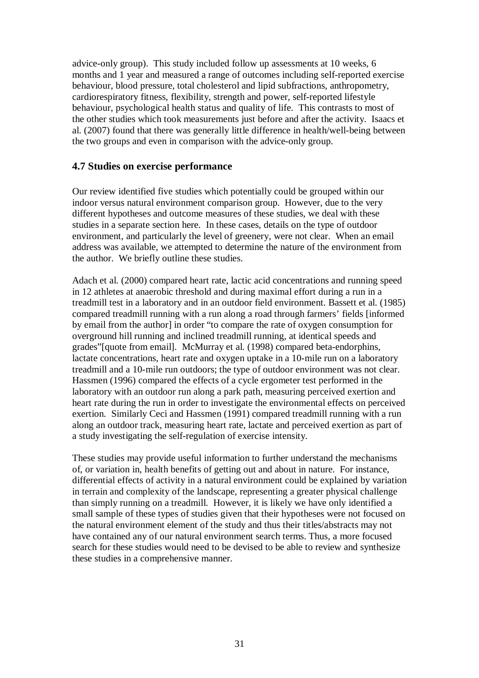advice-only group). This study included follow up assessments at 10 weeks, 6 months and 1 year and measured a range of outcomes including self-reported exercise behaviour, blood pressure, total cholesterol and lipid subfractions, anthropometry, cardiorespiratory fitness, flexibility, strength and power, self-reported lifestyle behaviour, psychological health status and quality of life. This contrasts to most of the other studies which took measurements just before and after the activity. Isaacs et al. (2007) found that there was generally little difference in health/well-being between the two groups and even in comparison with the advice-only group.

### **4.7 Studies on exercise performance**

Our review identified five studies which potentially could be grouped within our indoor versus natural environment comparison group. However, due to the very different hypotheses and outcome measures of these studies, we deal with these studies in a separate section here. In these cases, details on the type of outdoor environment, and particularly the level of greenery, were not clear. When an email address was available, we attempted to determine the nature of the environment from the author. We briefly outline these studies.

Adach et al. (2000) compared heart rate, lactic acid concentrations and running speed in 12 athletes at anaerobic threshold and during maximal effort during a run in a treadmill test in a laboratory and in an outdoor field environment. Bassett et al. (1985) compared treadmill running with a run along a road through farmers' fields [informed by email from the author] in order "to compare the rate of oxygen consumption for overground hill running and inclined treadmill running, at identical speeds and grades"[quote from email]. McMurray et al. (1998) compared beta-endorphins, lactate concentrations, heart rate and oxygen uptake in a 10-mile run on a laboratory treadmill and a 10-mile run outdoors; the type of outdoor environment was not clear. Hassmen (1996) compared the effects of a cycle ergometer test performed in the laboratory with an outdoor run along a park path, measuring perceived exertion and heart rate during the run in order to investigate the environmental effects on perceived exertion. Similarly Ceci and Hassmen (1991) compared treadmill running with a run along an outdoor track, measuring heart rate, lactate and perceived exertion as part of a study investigating the self-regulation of exercise intensity.

These studies may provide useful information to further understand the mechanisms of, or variation in, health benefits of getting out and about in nature. For instance, differential effects of activity in a natural environment could be explained by variation in terrain and complexity of the landscape, representing a greater physical challenge than simply running on a treadmill. However, it is likely we have only identified a small sample of these types of studies given that their hypotheses were not focused on the natural environment element of the study and thus their titles/abstracts may not have contained any of our natural environment search terms. Thus, a more focused search for these studies would need to be devised to be able to review and synthesize these studies in a comprehensive manner.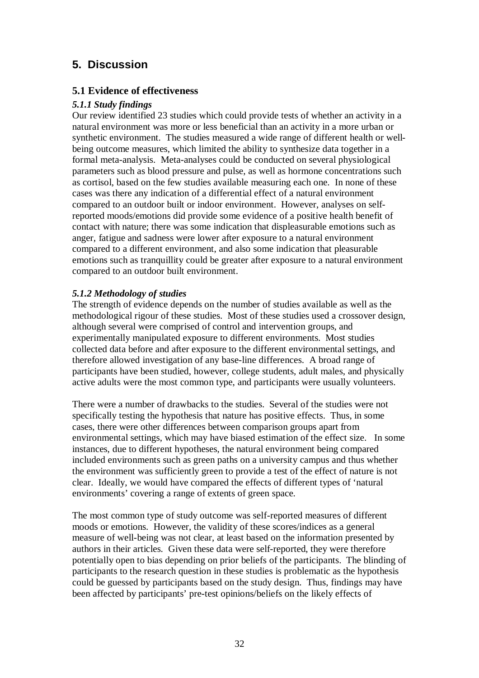## **5. Discussion**

### **5.1 Evidence of effectiveness**

### *5.1.1 Study findings*

Our review identified 23 studies which could provide tests of whether an activity in a natural environment was more or less beneficial than an activity in a more urban or synthetic environment. The studies measured a wide range of different health or wellbeing outcome measures, which limited the ability to synthesize data together in a formal meta-analysis. Meta-analyses could be conducted on several physiological parameters such as blood pressure and pulse, as well as hormone concentrations such as cortisol, based on the few studies available measuring each one. In none of these cases was there any indication of a differential effect of a natural environment compared to an outdoor built or indoor environment. However, analyses on selfreported moods/emotions did provide some evidence of a positive health benefit of contact with nature; there was some indication that displeasurable emotions such as anger, fatigue and sadness were lower after exposure to a natural environment compared to a different environment, and also some indication that pleasurable emotions such as tranquillity could be greater after exposure to a natural environment compared to an outdoor built environment.

### *5.1.2 Methodology of studies*

The strength of evidence depends on the number of studies available as well as the methodological rigour of these studies. Most of these studies used a crossover design, although several were comprised of control and intervention groups, and experimentally manipulated exposure to different environments. Most studies collected data before and after exposure to the different environmental settings, and therefore allowed investigation of any base-line differences. A broad range of participants have been studied, however, college students, adult males, and physically active adults were the most common type, and participants were usually volunteers.

There were a number of drawbacks to the studies. Several of the studies were not specifically testing the hypothesis that nature has positive effects. Thus, in some cases, there were other differences between comparison groups apart from environmental settings, which may have biased estimation of the effect size. In some instances, due to different hypotheses, the natural environment being compared included environments such as green paths on a university campus and thus whether the environment was sufficiently green to provide a test of the effect of nature is not clear. Ideally, we would have compared the effects of different types of 'natural environments' covering a range of extents of green space.

The most common type of study outcome was self-reported measures of different moods or emotions. However, the validity of these scores/indices as a general measure of well-being was not clear, at least based on the information presented by authors in their articles. Given these data were self-reported, they were therefore potentially open to bias depending on prior beliefs of the participants. The blinding of participants to the research question in these studies is problematic as the hypothesis could be guessed by participants based on the study design. Thus, findings may have been affected by participants' pre-test opinions/beliefs on the likely effects of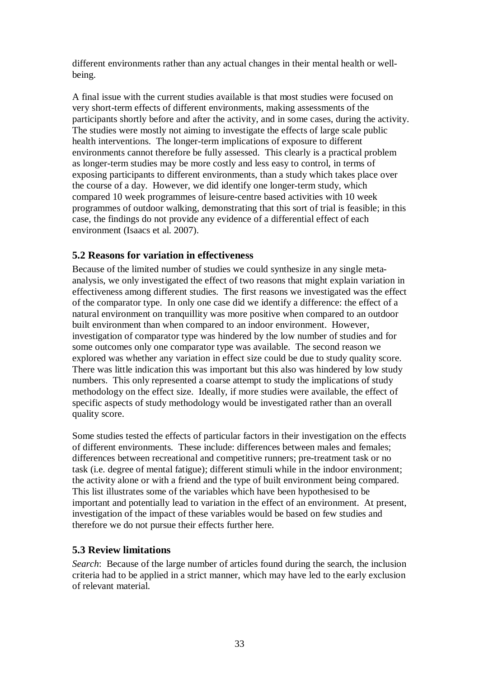different environments rather than any actual changes in their mental health or wellbeing.

A final issue with the current studies available is that most studies were focused on very short-term effects of different environments, making assessments of the participants shortly before and after the activity, and in some cases, during the activity. The studies were mostly not aiming to investigate the effects of large scale public health interventions. The longer-term implications of exposure to different environments cannot therefore be fully assessed. This clearly is a practical problem as longer-term studies may be more costly and less easy to control, in terms of exposing participants to different environments, than a study which takes place over the course of a day. However, we did identify one longer-term study, which compared 10 week programmes of leisure-centre based activities with 10 week programmes of outdoor walking, demonstrating that this sort of trial is feasible; in this case, the findings do not provide any evidence of a differential effect of each environment (Isaacs et al. 2007).

### **5.2 Reasons for variation in effectiveness**

Because of the limited number of studies we could synthesize in any single metaanalysis, we only investigated the effect of two reasons that might explain variation in effectiveness among different studies. The first reasons we investigated was the effect of the comparator type. In only one case did we identify a difference: the effect of a natural environment on tranquillity was more positive when compared to an outdoor built environment than when compared to an indoor environment. However, investigation of comparator type was hindered by the low number of studies and for some outcomes only one comparator type was available. The second reason we explored was whether any variation in effect size could be due to study quality score. There was little indication this was important but this also was hindered by low study numbers. This only represented a coarse attempt to study the implications of study methodology on the effect size. Ideally, if more studies were available, the effect of specific aspects of study methodology would be investigated rather than an overall quality score.

Some studies tested the effects of particular factors in their investigation on the effects of different environments. These include: differences between males and females; differences between recreational and competitive runners; pre-treatment task or no task (i.e. degree of mental fatigue); different stimuli while in the indoor environment; the activity alone or with a friend and the type of built environment being compared. This list illustrates some of the variables which have been hypothesised to be important and potentially lead to variation in the effect of an environment. At present, investigation of the impact of these variables would be based on few studies and therefore we do not pursue their effects further here.

### **5.3 Review limitations**

*Search*: Because of the large number of articles found during the search, the inclusion criteria had to be applied in a strict manner, which may have led to the early exclusion of relevant material.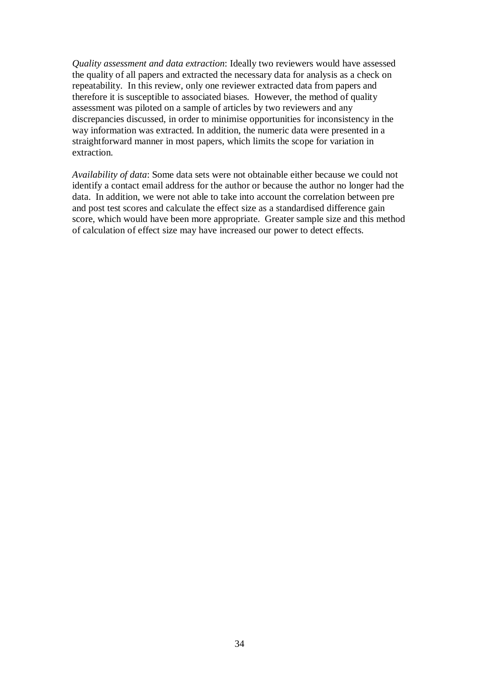*Quality assessment and data extraction*: Ideally two reviewers would have assessed the quality of all papers and extracted the necessary data for analysis as a check on repeatability. In this review, only one reviewer extracted data from papers and therefore it is susceptible to associated biases. However, the method of quality assessment was piloted on a sample of articles by two reviewers and any discrepancies discussed, in order to minimise opportunities for inconsistency in the way information was extracted. In addition, the numeric data were presented in a straightforward manner in most papers, which limits the scope for variation in extraction.

*Availability of data*: Some data sets were not obtainable either because we could not identify a contact email address for the author or because the author no longer had the data. In addition, we were not able to take into account the correlation between pre and post test scores and calculate the effect size as a standardised difference gain score, which would have been more appropriate. Greater sample size and this method of calculation of effect size may have increased our power to detect effects.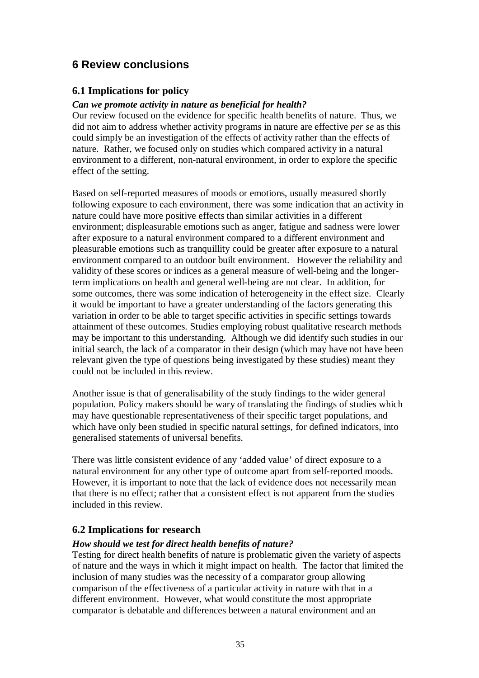## **6 Review conclusions**

### **6.1 Implications for policy**

### *Can we promote activity in nature as beneficial for health?*

Our review focused on the evidence for specific health benefits of nature. Thus, we did not aim to address whether activity programs in nature are effective *per se* as this could simply be an investigation of the effects of activity rather than the effects of nature. Rather, we focused only on studies which compared activity in a natural environment to a different, non-natural environment, in order to explore the specific effect of the setting.

Based on self-reported measures of moods or emotions, usually measured shortly following exposure to each environment, there was some indication that an activity in nature could have more positive effects than similar activities in a different environment; displeasurable emotions such as anger, fatigue and sadness were lower after exposure to a natural environment compared to a different environment and pleasurable emotions such as tranquillity could be greater after exposure to a natural environment compared to an outdoor built environment. However the reliability and validity of these scores or indices as a general measure of well-being and the longerterm implications on health and general well-being are not clear. In addition, for some outcomes, there was some indication of heterogeneity in the effect size. Clearly it would be important to have a greater understanding of the factors generating this variation in order to be able to target specific activities in specific settings towards attainment of these outcomes. Studies employing robust qualitative research methods may be important to this understanding. Although we did identify such studies in our initial search, the lack of a comparator in their design (which may have not have been relevant given the type of questions being investigated by these studies) meant they could not be included in this review.

Another issue is that of generalisability of the study findings to the wider general population. Policy makers should be wary of translating the findings of studies which may have questionable representativeness of their specific target populations, and which have only been studied in specific natural settings, for defined indicators, into generalised statements of universal benefits.

There was little consistent evidence of any 'added value' of direct exposure to a natural environment for any other type of outcome apart from self-reported moods. However, it is important to note that the lack of evidence does not necessarily mean that there is no effect; rather that a consistent effect is not apparent from the studies included in this review.

### **6.2 Implications for research**

### *How should we test for direct health benefits of nature?*

Testing for direct health benefits of nature is problematic given the variety of aspects of nature and the ways in which it might impact on health. The factor that limited the inclusion of many studies was the necessity of a comparator group allowing comparison of the effectiveness of a particular activity in nature with that in a different environment. However, what would constitute the most appropriate comparator is debatable and differences between a natural environment and an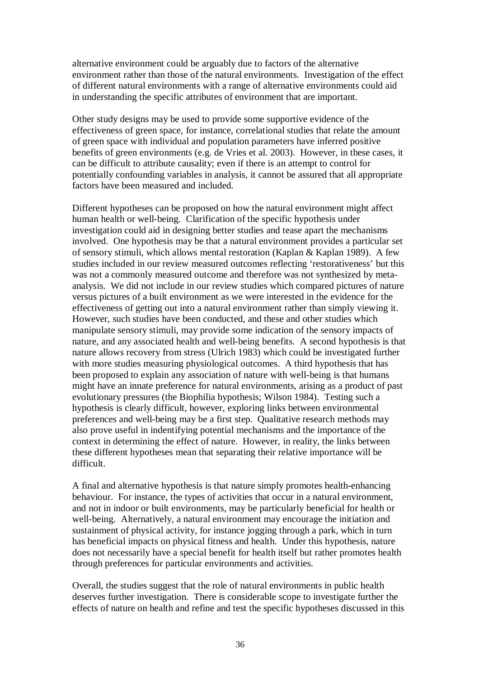alternative environment could be arguably due to factors of the alternative environment rather than those of the natural environments. Investigation of the effect of different natural environments with a range of alternative environments could aid in understanding the specific attributes of environment that are important.

Other study designs may be used to provide some supportive evidence of the effectiveness of green space, for instance, correlational studies that relate the amount of green space with individual and population parameters have inferred positive benefits of green environments (e.g. de Vries et al. 2003). However, in these cases, it can be difficult to attribute causality; even if there is an attempt to control for potentially confounding variables in analysis, it cannot be assured that all appropriate factors have been measured and included.

Different hypotheses can be proposed on how the natural environment might affect human health or well-being. Clarification of the specific hypothesis under investigation could aid in designing better studies and tease apart the mechanisms involved. One hypothesis may be that a natural environment provides a particular set of sensory stimuli, which allows mental restoration (Kaplan & Kaplan 1989). A few studies included in our review measured outcomes reflecting 'restorativeness' but this was not a commonly measured outcome and therefore was not synthesized by metaanalysis. We did not include in our review studies which compared pictures of nature versus pictures of a built environment as we were interested in the evidence for the effectiveness of getting out into a natural environment rather than simply viewing it. However, such studies have been conducted, and these and other studies which manipulate sensory stimuli, may provide some indication of the sensory impacts of nature, and any associated health and well-being benefits. A second hypothesis is that nature allows recovery from stress (Ulrich 1983) which could be investigated further with more studies measuring physiological outcomes. A third hypothesis that has been proposed to explain any association of nature with well-being is that humans might have an innate preference for natural environments, arising as a product of past evolutionary pressures (the Biophilia hypothesis; Wilson 1984). Testing such a hypothesis is clearly difficult, however, exploring links between environmental preferences and well-being may be a first step. Qualitative research methods may also prove useful in indentifying potential mechanisms and the importance of the context in determining the effect of nature. However, in reality, the links between these different hypotheses mean that separating their relative importance will be difficult.

A final and alternative hypothesis is that nature simply promotes health-enhancing behaviour. For instance, the types of activities that occur in a natural environment, and not in indoor or built environments, may be particularly beneficial for health or well-being. Alternatively, a natural environment may encourage the initiation and sustainment of physical activity, for instance jogging through a park, which in turn has beneficial impacts on physical fitness and health. Under this hypothesis, nature does not necessarily have a special benefit for health itself but rather promotes health through preferences for particular environments and activities.

Overall, the studies suggest that the role of natural environments in public health deserves further investigation. There is considerable scope to investigate further the effects of nature on health and refine and test the specific hypotheses discussed in this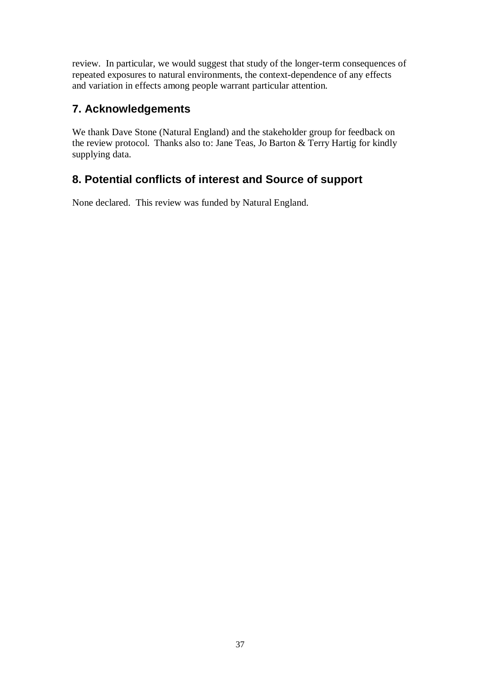review. In particular, we would suggest that study of the longer-term consequences of repeated exposures to natural environments, the context-dependence of any effects and variation in effects among people warrant particular attention.

## **7. Acknowledgements**

We thank Dave Stone (Natural England) and the stakeholder group for feedback on the review protocol. Thanks also to: Jane Teas, Jo Barton & Terry Hartig for kindly supplying data.

## **8. Potential conflicts of interest and Source of support**

None declared. This review was funded by Natural England.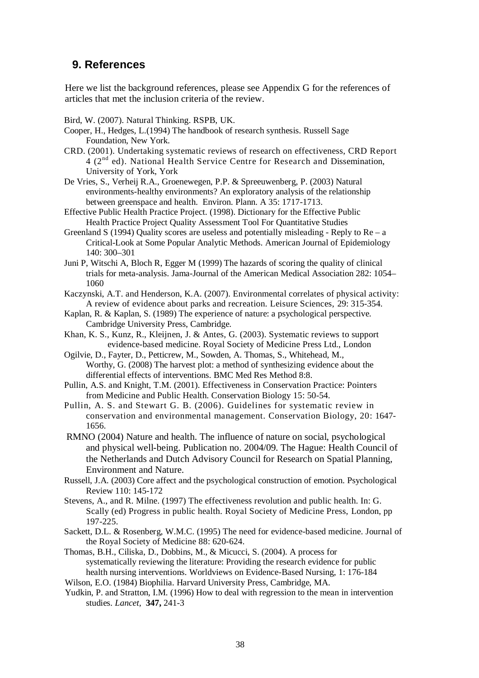## **9. References**

Here we list the background references, please see Appendix G for the references of articles that met the inclusion criteria of the review.

Bird, W. (2007). Natural Thinking. RSPB, UK.

- Cooper, H., Hedges, L.(1994) The handbook of research synthesis. Russell Sage Foundation, New York.
- CRD. (2001). Undertaking systematic reviews of research on effectiveness, CRD Report 4 (2<sup>nd</sup> ed). National Health Service Centre for Research and Dissemination, University of York, York
- De Vries, S., Verheij R.A., Groenewegen, P.P. & Spreeuwenberg, P. (2003) Natural environments-healthy environments? An exploratory analysis of the relationship between greenspace and health. Environ. Plann. A 35: 1717-1713.
- Effective Public Health Practice Project. (1998). Dictionary for the Effective Public Health Practice Project Quality Assessment Tool For Quantitative Studies
- Greenland S (1994) Quality scores are useless and potentially misleading Reply to  $Re a$ Critical-Look at Some Popular Analytic Methods. American Journal of Epidemiology 140: 300–301
- Juni P, Witschi A, Bloch R, Egger M (1999) The hazards of scoring the quality of clinical trials for meta-analysis. Jama-Journal of the American Medical Association 282: 1054– 1060
- Kaczynski, A.T. and Henderson, K.A. (2007). Environmental correlates of physical activity: A review of evidence about parks and recreation. Leisure Sciences, 29: 315-354.
- Kaplan, R. & Kaplan, S. (1989) The experience of nature: a psychological perspective. Cambridge University Press, Cambridge.
- Khan, K. S., Kunz, R., Kleijnen, J. & Antes, G. (2003). Systematic reviews to support evidence-based medicine. Royal Society of Medicine Press Ltd., London
- Ogilvie, D., Fayter, D., Petticrew, M., Sowden, A. Thomas, S., Whitehead, M., Worthy, G. (2008) The harvest plot: a method of synthesizing evidence about the differential effects of interventions. BMC Med Res Method 8:8.
- Pullin, A.S. and Knight, T.M. (2001). Effectiveness in Conservation Practice: Pointers from Medicine and Public Health. Conservation Biology 15: 50-54.
- Pullin, A. S. and Stewart G. B. (2006). Guidelines for systematic review in conservation and environmental management. Conservation Biology, 20: 1647- 1656.
- RMNO (2004) Nature and health. The influence of nature on social, psychological and physical well-being. Publication no. 2004/09. The Hague: Health Council of the Netherlands and Dutch Advisory Council for Research on Spatial Planning, Environment and Nature.
- Russell, J.A. (2003) Core affect and the psychological construction of emotion. Psychological Review 110: 145-172
- Stevens, A., and R. Milne. (1997) The effectiveness revolution and public health. In: G. Scally (ed) Progress in public health. Royal Society of Medicine Press, London, pp 197-225.
- Sackett, D.L. & Rosenberg, W.M.C. (1995) The need for evidence-based medicine. Journal of the Royal Society of Medicine 88: 620-624.
- Thomas, B.H., Ciliska, D., Dobbins, M., & Micucci, S. (2004). A process for systematically reviewing the literature: Providing the research evidence for public health nursing interventions. Worldviews on Evidence-Based Nursing, 1: 176-184
- Wilson, E.O. (1984) Biophilia. Harvard University Press, Cambridge, MA.
- Yudkin, P. and Stratton, I.M. (1996) How to deal with regression to the mean in intervention studies. *Lancet,* **347,** 241-3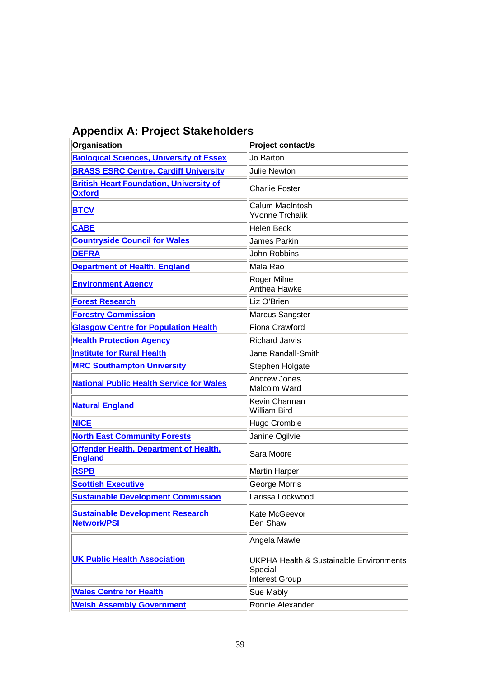| <b>Appendix A: Project Stakeholders</b> |  |
|-----------------------------------------|--|
|-----------------------------------------|--|

| Organisation                                                    | Project contact/s                                                                               |
|-----------------------------------------------------------------|-------------------------------------------------------------------------------------------------|
| <b>Biological Sciences, University of Essex</b>                 | Jo Barton                                                                                       |
| <b>BRASS ESRC Centre, Cardiff University</b>                    | <b>Julie Newton</b>                                                                             |
| <b>British Heart Foundation, University of</b><br><b>Oxford</b> | <b>Charlie Foster</b>                                                                           |
| <b>BTCV</b>                                                     | Calum MacIntosh<br><b>Yvonne Trchalik</b>                                                       |
| <b>CABE</b>                                                     | <b>Helen Beck</b>                                                                               |
| <b>Countryside Council for Wales</b>                            | James Parkin                                                                                    |
| <b>DEFRA</b>                                                    | John Robbins                                                                                    |
| <b>Department of Health, England</b>                            | Mala Rao                                                                                        |
| <b>Environment Agency</b>                                       | Roger Milne<br>Anthea Hawke                                                                     |
| <b>Forest Research</b>                                          | Liz O'Brien                                                                                     |
| <b>Forestry Commission</b>                                      | Marcus Sangster                                                                                 |
| <b>Glasgow Centre for Population Health</b>                     | Fiona Crawford                                                                                  |
| <b>Health Protection Agency</b>                                 | <b>Richard Jarvis</b>                                                                           |
| <b>Institute for Rural Health</b>                               | Jane Randall-Smith                                                                              |
| <b>MRC Southampton University</b>                               | Stephen Holgate                                                                                 |
| <b>National Public Health Service for Wales</b>                 | <b>Andrew Jones</b><br>Malcolm Ward                                                             |
| <b>Natural England</b>                                          | Kevin Charman<br><b>William Bird</b>                                                            |
| <b>NICE</b>                                                     | Hugo Crombie                                                                                    |
| <b>North East Community Forests</b>                             | Janine Ogilvie                                                                                  |
| <b>Offender Health, Department of Health,</b><br><b>England</b> | Sara Moore                                                                                      |
| <b>RSPB</b>                                                     | <b>Martin Harper</b>                                                                            |
| <b>Scottish Executive</b>                                       | George Morris                                                                                   |
| <b>Sustainable Development Commission</b>                       | Larissa Lockwood                                                                                |
| <b>Sustainable Development Research</b><br><b>Network/PSI</b>   | Kate McGeevor<br><b>Ben Shaw</b>                                                                |
| <b>UK Public Health Association</b>                             | Angela Mawle<br><b>UKPHA Health &amp; Sustainable Environments</b><br>Special<br>Interest Group |
| <b>Wales Centre for Health</b>                                  | Sue Mably                                                                                       |
| <b>Welsh Assembly Government</b>                                | Ronnie Alexander                                                                                |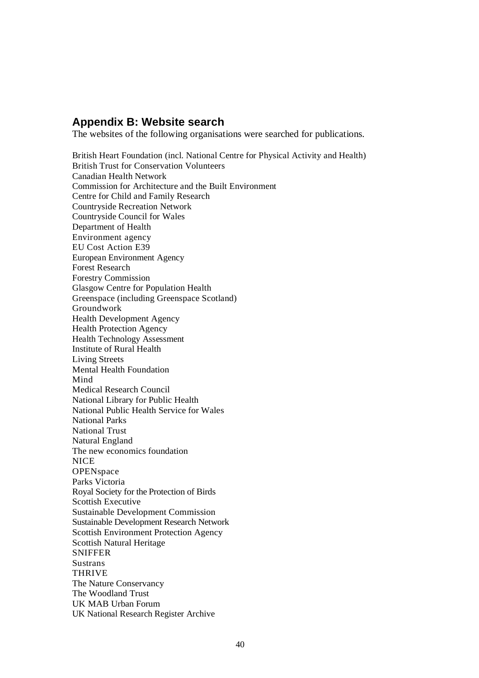### **Appendix B: Website search**

The websites of the following organisations were searched for publications.

British Heart Foundation (incl. National Centre for Physical Activity and Health) British Trust for Conservation Volunteers Canadian Health Network Commission for Architecture and the Built Environment Centre for Child and Family Research Countryside Recreation Network Countryside Council for Wales Department of Health Environment agency EU Cost Action E39 European Environment Agency Forest Research Forestry Commission Glasgow Centre for Population Health Greenspace (including Greenspace Scotland) Groundwork Health Development Agency Health Protection Agency Health Technology Assessment Institute of Rural Health Living Streets Mental Health Foundation Mind Medical Research Council National Library for Public Health National Public Health Service for Wales National Parks National Trust Natural England The new economics foundation **NICE OPENspace** Parks Victoria Royal Society for the Protection of Birds Scottish Executive Sustainable Development Commission Sustainable Development Research Network Scottish Environment Protection Agency Scottish Natural Heritage SNIFFER **Sustrans** THRIVE The Nature Conservancy The Woodland Trust UK MAB Urban Forum UK National Research Register Archive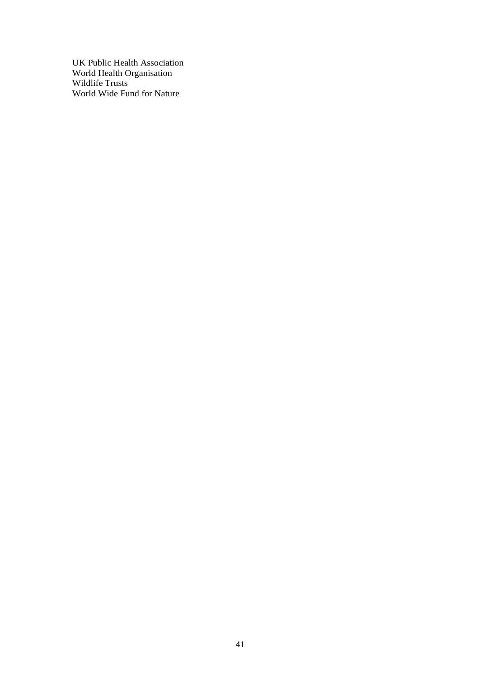UK Public Health Association World Health Organisation Wildlife Trusts World Wide Fund for Nature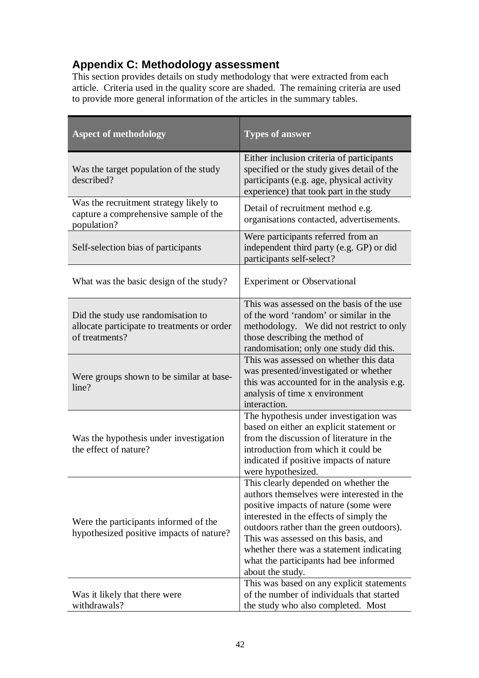## **Appendix C: Methodology assessment**

This section provides details on study methodology that were extracted from each article. Criteria used in the quality score are shaded. The remaining criteria are used to provide more general information of the articles in the summary tables.

| <b>Aspect of methodology</b>                                                                        | <b>Types of answer</b>                                                                                                                                                                                                                                                                                                                                               |
|-----------------------------------------------------------------------------------------------------|----------------------------------------------------------------------------------------------------------------------------------------------------------------------------------------------------------------------------------------------------------------------------------------------------------------------------------------------------------------------|
| Was the target population of the study<br>described?                                                | Either inclusion criteria of participants<br>specified or the study gives detail of the<br>participants (e.g. age, physical activity<br>experience) that took part in the study                                                                                                                                                                                      |
| Was the recruitment strategy likely to<br>capture a comprehensive sample of the<br>population?      | Detail of recruitment method e.g.<br>organisations contacted, advertisements.                                                                                                                                                                                                                                                                                        |
| Self-selection bias of participants                                                                 | Were participants referred from an<br>independent third party (e.g. GP) or did<br>participants self-select?                                                                                                                                                                                                                                                          |
| What was the basic design of the study?                                                             | <b>Experiment or Observational</b>                                                                                                                                                                                                                                                                                                                                   |
| Did the study use randomisation to<br>allocate participate to treatments or order<br>of treatments? | This was assessed on the basis of the use<br>of the word 'random' or similar in the<br>methodology. We did not restrict to only<br>those describing the method of<br>randomisation; only one study did this.                                                                                                                                                         |
| Were groups shown to be similar at base-<br>line?                                                   | This was assessed on whether this data<br>was presented/investigated or whether<br>this was accounted for in the analysis e.g.<br>analysis of time x environment<br>interaction.                                                                                                                                                                                     |
| Was the hypothesis under investigation<br>the effect of nature?                                     | The hypothesis under investigation was<br>based on either an explicit statement or<br>from the discussion of literature in the<br>introduction from which it could be<br>indicated if positive impacts of nature<br>were hypothesized.                                                                                                                               |
| Were the participants informed of the<br>hypothesized positive impacts of nature?                   | This clearly depended on whether the<br>authors themselves were interested in the<br>positive impacts of nature (some were<br>interested in the effects of simply the<br>outdoors rather than the green outdoors).<br>This was assessed on this basis, and<br>whether there was a statement indicating<br>what the participants had bee informed<br>about the study. |
| Was it likely that there were<br>withdrawals?                                                       | This was based on any explicit statements<br>of the number of individuals that started<br>the study who also completed. Most                                                                                                                                                                                                                                         |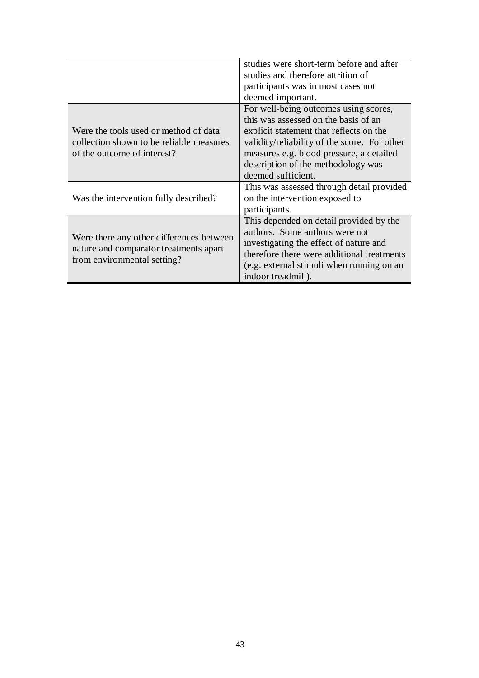|                                                                                    | studies were short-term before and after     |  |  |
|------------------------------------------------------------------------------------|----------------------------------------------|--|--|
|                                                                                    | studies and therefore attrition of           |  |  |
|                                                                                    | participants was in most cases not           |  |  |
|                                                                                    | deemed important.                            |  |  |
|                                                                                    | For well-being outcomes using scores,        |  |  |
|                                                                                    | this was assessed on the basis of an         |  |  |
| Were the tools used or method of data                                              | explicit statement that reflects on the      |  |  |
| collection shown to be reliable measures                                           | validity/reliability of the score. For other |  |  |
| of the outcome of interest?                                                        | measures e.g. blood pressure, a detailed     |  |  |
|                                                                                    | description of the methodology was           |  |  |
|                                                                                    | deemed sufficient.                           |  |  |
|                                                                                    | This was assessed through detail provided    |  |  |
| Was the intervention fully described?                                              | on the intervention exposed to               |  |  |
|                                                                                    | participants.                                |  |  |
|                                                                                    | This depended on detail provided by the      |  |  |
|                                                                                    | authors. Some authors were not               |  |  |
| Were there any other differences between<br>nature and comparator treatments apart | investigating the effect of nature and       |  |  |
|                                                                                    | therefore there were additional treatments   |  |  |
| from environmental setting?                                                        | (e.g. external stimuli when running on an    |  |  |
|                                                                                    | indoor treadmill).                           |  |  |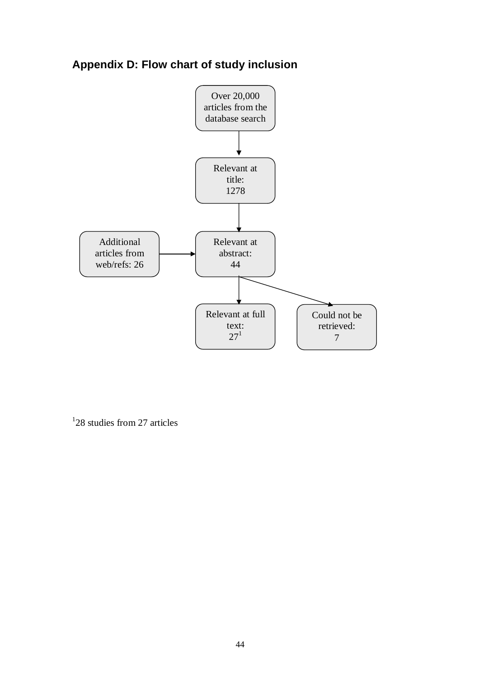## **Appendix D: Flow chart of study inclusion**



<sup>1</sup>28 studies from 27 articles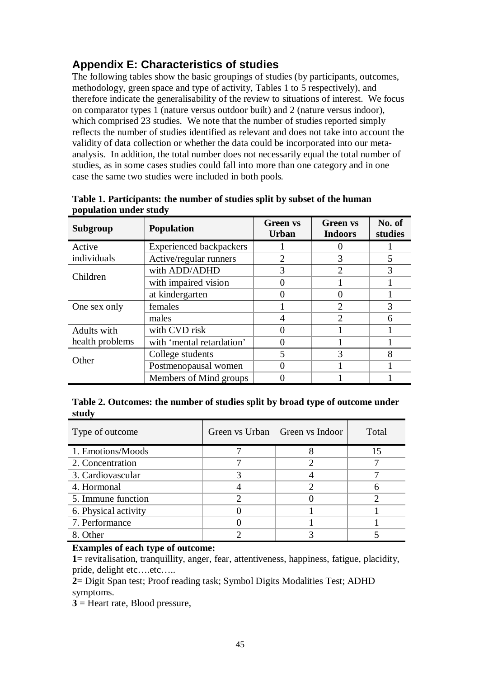## **Appendix E: Characteristics of studies**

The following tables show the basic groupings of studies (by participants, outcomes, methodology, green space and type of activity, Tables 1 to 5 respectively), and therefore indicate the generalisability of the review to situations of interest. We focus on comparator types 1 (nature versus outdoor built) and 2 (nature versus indoor), which comprised 23 studies. We note that the number of studies reported simply reflects the number of studies identified as relevant and does not take into account the validity of data collection or whether the data could be incorporated into our metaanalysis. In addition, the total number does not necessarily equal the total number of studies, as in some cases studies could fall into more than one category and in one case the same two studies were included in both pools.

| Subgroup        | Population                     | <b>Green vs</b><br><b>Urban</b> | <b>Green</b> vs<br><b>Indoors</b> | No. of<br>studies |
|-----------------|--------------------------------|---------------------------------|-----------------------------------|-------------------|
| Active          | <b>Experienced backpackers</b> |                                 |                                   |                   |
| individuals     | Active/regular runners         | $\mathcal{D}_{\mathcal{A}}$     | 3                                 | 5                 |
|                 | with ADD/ADHD                  | 3                               | 2                                 | 3                 |
| Children        | with impaired vision           |                                 |                                   |                   |
|                 | at kindergarten                | $\mathcal{L}$                   |                                   |                   |
| One sex only    | females                        |                                 | 2                                 | 3                 |
|                 | males                          | 4                               | 2                                 | 6                 |
| Adults with     | with CVD risk                  | 0                               |                                   |                   |
| health problems | with 'mental retardation'      |                                 |                                   |                   |
| Other           | College students               | 5                               | 3                                 | 8                 |
|                 | Postmenopausal women           |                                 |                                   |                   |
|                 | Members of Mind groups         |                                 |                                   |                   |

**Table 1. Participants: the number of studies split by subset of the human population under study**

### **Table 2. Outcomes: the number of studies split by broad type of outcome under study**

| Type of outcome      | Green vs Urban   Green vs Indoor | Total |
|----------------------|----------------------------------|-------|
| 1. Emotions/Moods    |                                  |       |
| 2. Concentration     |                                  |       |
| 3. Cardiovascular    |                                  |       |
| 4. Hormonal          |                                  |       |
| 5. Immune function   |                                  |       |
| 6. Physical activity |                                  |       |
| 7. Performance       |                                  |       |
| 8. Other             |                                  |       |

### **Examples of each type of outcome:**

**1**= revitalisation, tranquillity, anger, fear, attentiveness, happiness, fatigue, placidity, pride, delight etc….etc…..

**2**= Digit Span test; Proof reading task; Symbol Digits Modalities Test; ADHD symptoms.

**3** = Heart rate, Blood pressure,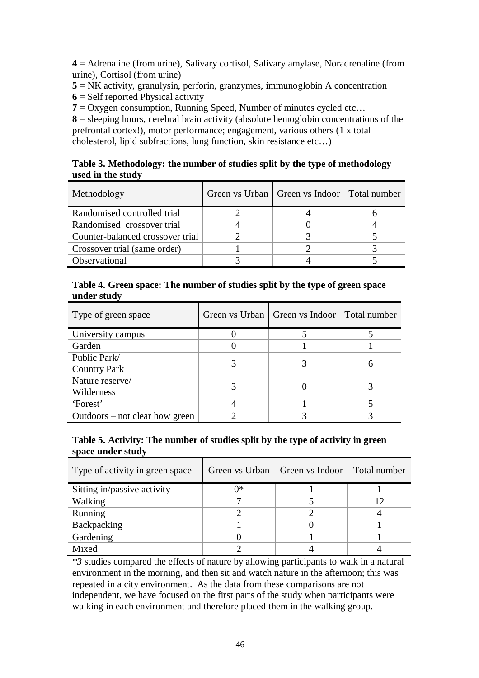**4** = Adrenaline (from urine), Salivary cortisol, Salivary amylase, Noradrenaline (from urine), Cortisol (from urine)

**5** = NK activity, granulysin, perforin, granzymes, immunoglobin A concentration

**6** = Self reported Physical activity

 $7 = Ox$  gen consumption, Running Speed, Number of minutes cycled etc...

**8** = sleeping hours, cerebral brain activity (absolute hemoglobin concentrations of the prefrontal cortex!), motor performance; engagement, various others (1 x total cholesterol, lipid subfractions, lung function, skin resistance etc…)

### **Table 3. Methodology: the number of studies split by the type of methodology used in the study**

| Methodology                      | Green vs Urban   Green vs Indoor   Total number |  |
|----------------------------------|-------------------------------------------------|--|
| Randomised controlled trial      |                                                 |  |
| Randomised crossover trial       |                                                 |  |
| Counter-balanced crossover trial |                                                 |  |
| Crossover trial (same order)     |                                                 |  |
| Observational                    |                                                 |  |

| Table 4. Green space: The number of studies split by the type of green space |
|------------------------------------------------------------------------------|
| under study                                                                  |

| Type of green space            | Green vs Urban   Green vs Indoor   Total number |  |
|--------------------------------|-------------------------------------------------|--|
| University campus              |                                                 |  |
| Garden                         |                                                 |  |
| Public Park/                   |                                                 |  |
| <b>Country Park</b>            |                                                 |  |
| Nature reserve/                |                                                 |  |
| Wilderness                     |                                                 |  |
| 'Forest'                       |                                                 |  |
| Outdoors – not clear how green |                                                 |  |

### **Table 5. Activity: The number of studies split by the type of activity in green space under study**

| Type of activity in green space | Green vs Urban | Green vs Indoor   Total number |  |
|---------------------------------|----------------|--------------------------------|--|
| Sitting in/passive activity     | ∩∗             |                                |  |
| <b>Walking</b>                  |                |                                |  |
| Running                         |                |                                |  |
| Backpacking                     |                |                                |  |
| Gardening                       |                |                                |  |
| Mixed                           |                |                                |  |

*\*3* studies compared the effects of nature by allowing participants to walk in a natural environment in the morning, and then sit and watch nature in the afternoon; this was repeated in a city environment. As the data from these comparisons are not independent, we have focused on the first parts of the study when participants were walking in each environment and therefore placed them in the walking group.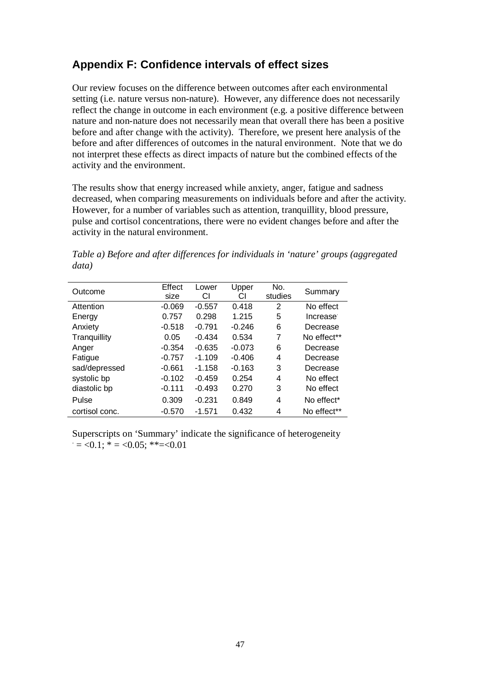## **Appendix F: Confidence intervals of effect sizes**

Our review focuses on the difference between outcomes after each environmental setting (i.e. nature versus non-nature). However, any difference does not necessarily reflect the change in outcome in each environment (e.g. a positive difference between nature and non-nature does not necessarily mean that overall there has been a positive before and after change with the activity). Therefore, we present here analysis of the before and after differences of outcomes in the natural environment. Note that we do not interpret these effects as direct impacts of nature but the combined effects of the activity and the environment.

The results show that energy increased while anxiety, anger, fatigue and sadness decreased, when comparing measurements on individuals before and after the activity. However, for a number of variables such as attention, tranquillity, blood pressure, pulse and cortisol concentrations, there were no evident changes before and after the activity in the natural environment.

*Table a) Before and after differences for individuals in 'nature' groups (aggregated data)*

| Outcome        | Effect<br>size | Lower<br>СI | Upper<br>СI | No.<br>studies | Summary                 |
|----------------|----------------|-------------|-------------|----------------|-------------------------|
| Attention      | $-0.069$       | $-0.557$    | 0.418       | 2              | No effect               |
| Energy         | 0.757          | 0.298       | 1.215       | 5              | Increase <sup>-</sup>   |
| Anxiety        | $-0.518$       | $-0.791$    | $-0.246$    | 6              | Decrease                |
| Tranquillity   | 0.05           | $-0.434$    | 0.534       | 7              | No effect**             |
| Anger          | $-0.354$       | $-0.635$    | $-0.073$    | 6              | Decrease                |
| Fatigue        | $-0.757$       | $-1.109$    | $-0.406$    | 4              | Decrease                |
| sad/depressed  | $-0.661$       | $-1.158$    | $-0.163$    | 3              | Decrease                |
| systolic bp    | $-0.102$       | $-0.459$    | 0.254       | 4              | No effect               |
| diastolic bp   | $-0.111$       | $-0.493$    | 0.270       | 3              | No effect               |
| Pulse          | 0.309          | $-0.231$    | 0.849       | 4              | No effect*              |
| cortisol conc. | $-0.570$       | $-1.571$    | 0.432       | 4              | No effect <sup>**</sup> |

Superscripts on 'Summary' indicate the significance of heterogeneity  $= <0.1$ ;  $* = <0.05$ ;  $* = <0.01$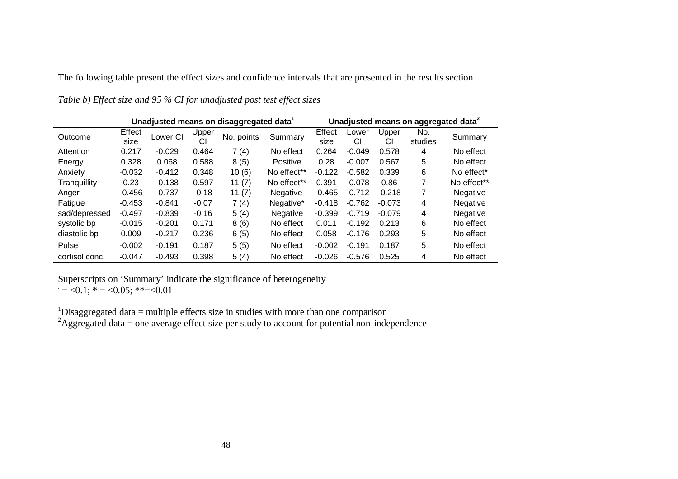The following table present the effect sizes and confidence intervals that are presented in the results section

|                | Unadjusted means on disaggregated data <sup>1</sup> |          |             |            | Unadjusted means on aggregated data <sup>2</sup> |                |             |             |                |                        |
|----------------|-----------------------------------------------------|----------|-------------|------------|--------------------------------------------------|----------------|-------------|-------------|----------------|------------------------|
| Outcome        | Effect<br>size                                      | Lower CI | Upper<br>СI | No. points | Summary                                          | Effect<br>size | Lower<br>СI | Upper<br>СI | No.<br>studies | Summary                |
| Attention      | 0.217                                               | $-0.029$ | 0.464       | 7(4)       | No effect                                        | 0.264          | $-0.049$    | 0.578       | 4              | No effect              |
| Energy         | 0.328                                               | 0.068    | 0.588       | 8(5)       | Positive                                         | 0.28           | $-0.007$    | 0.567       | 5              | No effect              |
| Anxiety        | $-0.032$                                            | $-0.412$ | 0.348       | 10(6)      | No effect <sup>**</sup>                          | $-0.122$       | $-0.582$    | 0.339       | 6              | No effect <sup>*</sup> |
| Tranguillity   | 0.23                                                | $-0.138$ | 0.597       | 11(7)      | No effect <sup>**</sup>                          | 0.391          | $-0.078$    | 0.86        |                | No effect**            |
| Anger          | $-0.456$                                            | $-0.737$ | $-0.18$     | 11 $(7)$   | Negative <sup>®</sup>                            | $-0.465$       | $-0.712$    | $-0.218$    |                | Negative               |
| Fatigue        | $-0.453$                                            | $-0.841$ | $-0.07$     | 7(4)       | Negative*                                        | $-0.418$       | $-0.762$    | $-0.073$    | 4              | Negative               |
| sad/depressed  | $-0.497$                                            | $-0.839$ | $-0.16$     | 5(4)       | Negative                                         | $-0.399$       | $-0.719$    | $-0.079$    | 4              | Negative               |
| systolic bp    | $-0.015$                                            | $-0.201$ | 0.171       | 8(6)       | No effect                                        | 0.011          | $-0.192$    | 0.213       | 6              | No effect              |
| diastolic bp   | 0.009                                               | $-0.217$ | 0.236       | 6(5)       | No effect                                        | 0.058          | $-0.176$    | 0.293       | 5              | No effect              |
| Pulse          | $-0.002$                                            | $-0.191$ | 0.187       | 5(5)       | No effect                                        | $-0.002$       | $-0.191$    | 0.187       | 5              | No effect              |
| cortisol conc. | $-0.047$                                            | $-0.493$ | 0.398       | 5(4)       | No effect                                        | $-0.026$       | $-0.576$    | 0.525       | 4              | No effect              |

*Table b) Effect size and 95 % CI for unadjusted post test effect sizes*

Superscripts on 'Summary' indicate the significance of heterogeneity  $= <0.1$ ; \*  $= <0.05$ ; \*\* $= <0.01$ 

<sup>1</sup>Disaggregated data = multiple effects size in studies with more than one comparison

<sup>2</sup>Aggregated data = one average effect size per study to account for potential non-independence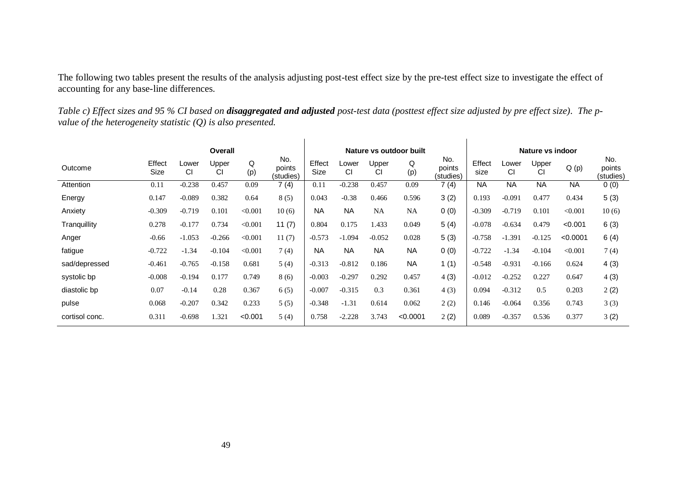The following two tables present the results of the analysis adjusting post-test effect size by the pre-test effect size to investigate the effect of accounting for any base-line differences.

| Table c) Effect sizes and 95 % CI based on <b>disaggregated and adjusted</b> post-test data (posttest effect size adjusted by pre effect size). The p- |  |
|--------------------------------------------------------------------------------------------------------------------------------------------------------|--|
| value of the heterogeneity statistic $(Q)$ is also presented.                                                                                          |  |

|                | Overall        |             |             |          |                            |                |                    | Nature vs outdoor built<br>Nature vs indoor |           |                            |                |                    |             |           |                            |
|----------------|----------------|-------------|-------------|----------|----------------------------|----------------|--------------------|---------------------------------------------|-----------|----------------------------|----------------|--------------------|-------------|-----------|----------------------------|
| Outcome        | Effect<br>Size | Lower<br>CI | Upper<br>CI | Q<br>(p) | No.<br>points<br>(studies) | Effect<br>Size | Lower<br><b>CI</b> | Upper<br>СI                                 | Q<br>(p)  | No.<br>points<br>(studies) | Effect<br>size | Lower<br><b>CI</b> | Upper<br>СI | Q(p)      | No.<br>points<br>(studies) |
| Attention      | 0.11           | $-0.238$    | 0.457       | 0.09     | 7(4)                       | 0.11           | $-0.238$           | 0.457                                       | 0.09      | 7(4)                       | <b>NA</b>      | <b>NA</b>          | <b>NA</b>   | <b>NA</b> | 0(0)                       |
| Energy         | 0.147          | $-0.089$    | 0.382       | 0.64     | 8(5)                       | 0.043          | $-0.38$            | 0.466                                       | 0.596     | 3(2)                       | 0.193          | $-0.091$           | 0.477       | 0.434     | 5(3)                       |
| Anxiety        | $-0.309$       | $-0.719$    | 0.101       | < 0.001  | 10(6)                      | <b>NA</b>      | <b>NA</b>          | <b>NA</b>                                   | <b>NA</b> | 0(0)                       | $-0.309$       | $-0.719$           | 0.101       | < 0.001   | 10(6)                      |
| Tranquillity   | 0.278          | $-0.177$    | 0.734       | < 0.001  | 11(7)                      | 0.804          | 0.175              | 1.433                                       | 0.049     | 5(4)                       | $-0.078$       | $-0.634$           | 0.479       | < 0.001   | 6(3)                       |
| Anger          | $-0.66$        | $-1.053$    | $-0.266$    | < 0.001  | 11(7)                      | $-0.573$       | $-1.094$           | $-0.052$                                    | 0.028     | 5(3)                       | $-0.758$       | $-1.391$           | $-0.125$    | < 0.0001  | 6(4)                       |
| fatigue        | $-0.722$       | $-1.34$     | $-0.104$    | < 0.001  | 7(4)                       | <b>NA</b>      | <b>NA</b>          | <b>NA</b>                                   | <b>NA</b> | 0(0)                       | $-0.722$       | $-1.34$            | $-0.104$    | < 0.001   | 7(4)                       |
| sad/depressed  | $-0.461$       | $-0.765$    | $-0.158$    | 0.681    | 5(4)                       | $-0.313$       | $-0.812$           | 0.186                                       | <b>NA</b> | 1(1)                       | $-0.548$       | $-0.931$           | $-0.166$    | 0.624     | 4(3)                       |
| systolic bp    | $-0.008$       | $-0.194$    | 0.177       | 0.749    | 8(6)                       | $-0.003$       | $-0.297$           | 0.292                                       | 0.457     | 4(3)                       | $-0.012$       | $-0.252$           | 0.227       | 0.647     | 4(3)                       |
| diastolic bp   | 0.07           | $-0.14$     | 0.28        | 0.367    | 6(5)                       | $-0.007$       | $-0.315$           | 0.3                                         | 0.361     | 4(3)                       | 0.094          | $-0.312$           | 0.5         | 0.203     | 2(2)                       |
| pulse          | 0.068          | $-0.207$    | 0.342       | 0.233    | 5(5)                       | $-0.348$       | $-1.31$            | 0.614                                       | 0.062     | 2(2)                       | 0.146          | $-0.064$           | 0.356       | 0.743     | 3(3)                       |
| cortisol conc. | 0.311          | $-0.698$    | 1.321       | < 0.001  | 5(4)                       | 0.758          | $-2.228$           | 3.743                                       | < 0.0001  | 2(2)                       | 0.089          | $-0.357$           | 0.536       | 0.377     | 3(2)                       |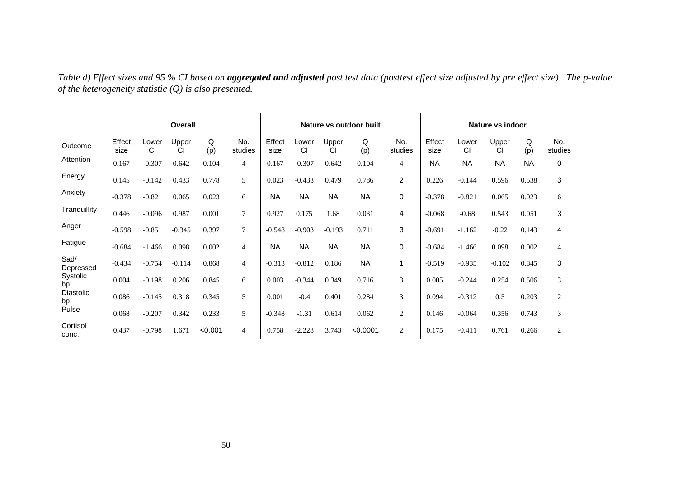*Table d) Effect sizes and 95 % CI based on aggregated and adjusted post test data (posttest effect size adjusted by pre effect size). The p-value of the heterogeneity statistic (Q) is also presented.*

| Overall           |                |             |             |          |                 |                |             | Nature vs outdoor built |           | Nature vs indoor |                |             |             |           |                |
|-------------------|----------------|-------------|-------------|----------|-----------------|----------------|-------------|-------------------------|-----------|------------------|----------------|-------------|-------------|-----------|----------------|
| Outcome           | Effect<br>size | Lower<br>CI | Upper<br>СI | Q<br>(p) | No.<br>studies  | Effect<br>size | Lower<br>CI | Upper<br>CI             | Q<br>(p)  | No.<br>studies   | Effect<br>size | Lower<br>CI | Upper<br>CI | Q<br>(p)  | No.<br>studies |
| Attention         | 0.167          | $-0.307$    | 0.642       | 0.104    | $\overline{4}$  | 0.167          | $-0.307$    | 0.642                   | 0.104     | 4                | <b>NA</b>      | <b>NA</b>   | <b>NA</b>   | <b>NA</b> | 0              |
| Energy            | 0.145          | $-0.142$    | 0.433       | 0.778    | 5               | 0.023          | $-0.433$    | 0.479                   | 0.786     | $\overline{2}$   | 0.226          | $-0.144$    | 0.596       | 0.538     | $\mathbf{3}$   |
| Anxiety           | $-0.378$       | $-0.821$    | 0.065       | 0.023    | 6               | <b>NA</b>      | <b>NA</b>   | <b>NA</b>               | <b>NA</b> | $\mathbf 0$      | $-0.378$       | $-0.821$    | 0.065       | 0.023     | 6              |
| Tranquillity      | 0.446          | $-0.096$    | 0.987       | 0.001    | $7\phantom{.0}$ | 0.927          | 0.175       | 1.68                    | 0.031     | 4                | $-0.068$       | $-0.68$     | 0.543       | 0.051     | 3              |
| Anger             | $-0.598$       | $-0.851$    | $-0.345$    | 0.397    | $\overline{7}$  | $-0.548$       | $-0.903$    | $-0.193$                | 0.711     | 3                | $-0.691$       | $-1.162$    | $-0.22$     | 0.143     | 4              |
| Fatigue           | $-0.684$       | $-1.466$    | 0.098       | 0.002    | $\overline{4}$  | <b>NA</b>      | <b>NA</b>   | <b>NA</b>               | <b>NA</b> | $\mathbf 0$      | $-0.684$       | $-1.466$    | 0.098       | 0.002     | $\overline{4}$ |
| Sad/<br>Depressed | $-0.434$       | $-0.754$    | $-0.114$    | 0.868    | $\overline{4}$  | $-0.313$       | $-0.812$    | 0.186                   | <b>NA</b> | 1                | $-0.519$       | $-0.935$    | $-0.102$    | 0.845     | 3              |
| Systolic<br>bp    | 0.004          | $-0.198$    | 0.206       | 0.845    | 6               | 0.003          | $-0.344$    | 0.349                   | 0.716     | 3                | 0.005          | $-0.244$    | 0.254       | 0.506     | 3              |
| Diastolic<br>bp   | 0.086          | $-0.145$    | 0.318       | 0.345    | 5               | 0.001          | $-0.4$      | 0.401                   | 0.284     | 3                | 0.094          | $-0.312$    | 0.5         | 0.203     | $\overline{c}$ |
| Pulse             | 0.068          | $-0.207$    | 0.342       | 0.233    | 5               | $-0.348$       | $-1.31$     | 0.614                   | 0.062     | $\mathfrak{2}$   | 0.146          | $-0.064$    | 0.356       | 0.743     | $\mathfrak{Z}$ |
| Cortisol<br>conc. | 0.437          | $-0.798$    | 1.671       | < 0.001  | $\overline{4}$  | 0.758          | $-2.228$    | 3.743                   | < 0.0001  | $\overline{c}$   | 0.175          | $-0.411$    | 0.761       | 0.266     | 2              |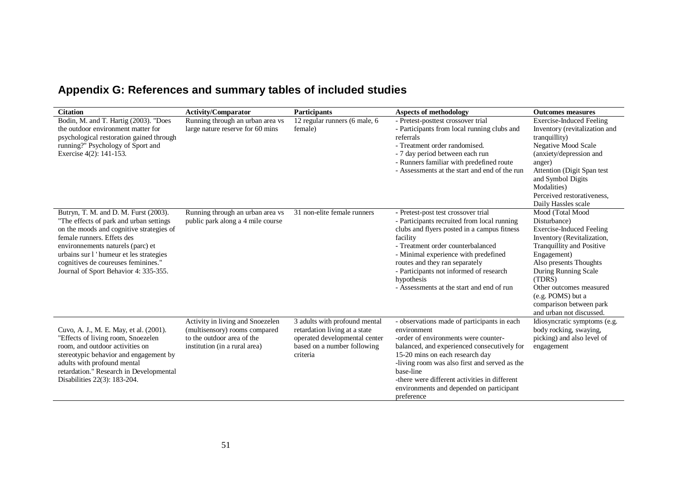## **Appendix G: References and summary tables of included studies**

| <b>Citation</b>                                                                                                                                                                                                                                                                                                           | <b>Activity/Comparator</b>                                                                                                       | Participants                                                                                                                               | <b>Aspects of methodology</b>                                                                                                                                                                                                                                                                                                                                      | <b>Outcomes measures</b>                                                                                                                                                                                                                                                                                         |
|---------------------------------------------------------------------------------------------------------------------------------------------------------------------------------------------------------------------------------------------------------------------------------------------------------------------------|----------------------------------------------------------------------------------------------------------------------------------|--------------------------------------------------------------------------------------------------------------------------------------------|--------------------------------------------------------------------------------------------------------------------------------------------------------------------------------------------------------------------------------------------------------------------------------------------------------------------------------------------------------------------|------------------------------------------------------------------------------------------------------------------------------------------------------------------------------------------------------------------------------------------------------------------------------------------------------------------|
| Bodin, M. and T. Hartig (2003). "Does<br>the outdoor environment matter for<br>psychological restoration gained through<br>running?" Psychology of Sport and<br>Exercise 4(2): 141-153.                                                                                                                                   | Running through an urban area vs<br>large nature reserve for 60 mins                                                             | 12 regular runners (6 male, 6<br>female)                                                                                                   | - Pretest-posttest crossover trial<br>- Participants from local running clubs and<br>referrals<br>- Treatment order randomised.<br>- 7 day period between each run<br>- Runners familiar with predefined route<br>- Assessments at the start and end of the run                                                                                                    | <b>Exercise-Induced Feeling</b><br>Inventory (revitalization and<br>tranquillity)<br>Negative Mood Scale<br>(anxiety/depression and<br>anger)<br>Attention (Digit Span test<br>and Symbol Digits<br>Modalities)<br>Perceived restorativeness,<br>Daily Hassles scale                                             |
| Butryn, T. M. and D. M. Furst (2003).<br>"The effects of park and urban settings<br>on the moods and cognitive strategies of<br>female runners. Effets des<br>environnements naturels (parc) et<br>urbains sur l'humeur et les strategies<br>cognitives de coureuses feminines."<br>Journal of Sport Behavior 4: 335-355. | Running through an urban area vs<br>public park along a 4 mile course                                                            | 31 non-elite female runners                                                                                                                | - Pretest-post test crossover trial<br>- Participants recruited from local running<br>clubs and flyers posted in a campus fitness<br>facility<br>- Treatment order counterbalanced<br>- Minimal experience with predefined<br>routes and they ran separately<br>- Participants not informed of research<br>hypothesis<br>- Assessments at the start and end of run | Mood (Total Mood<br>Disturbance)<br><b>Exercise-Induced Feeling</b><br>Inventory (Revitalization,<br>Tranquillity and Positive<br>Engagement)<br>Also presents Thoughts<br>During Running Scale<br>(TDRS)<br>Other outcomes measured<br>(e.g. POMS) but a<br>comparison between park<br>and urban not discussed. |
| Cuvo, A. J., M. E. May, et al. (2001).<br>"Effects of living room, Snoezelen<br>room, and outdoor activities on<br>stereotypic behavior and engagement by<br>adults with profound mental<br>retardation." Research in Developmental<br>Disabilities 22(3): 183-204.                                                       | Activity in living and Snoezelen<br>(multisensory) rooms compared<br>to the outdoor area of the<br>institution (in a rural area) | 3 adults with profound mental<br>retardation living at a state<br>operated developmental center<br>based on a number following<br>criteria | - observations made of participants in each<br>environment<br>-order of environments were counter-<br>balanced, and experienced consecutively for<br>15-20 mins on each research day<br>-living room was also first and served as the<br>base-line<br>-there were different activities in different<br>environments and depended on participant<br>preference      | Idiosyncratic symptoms (e.g.<br>body rocking, swaying,<br>picking) and also level of<br>engagement                                                                                                                                                                                                               |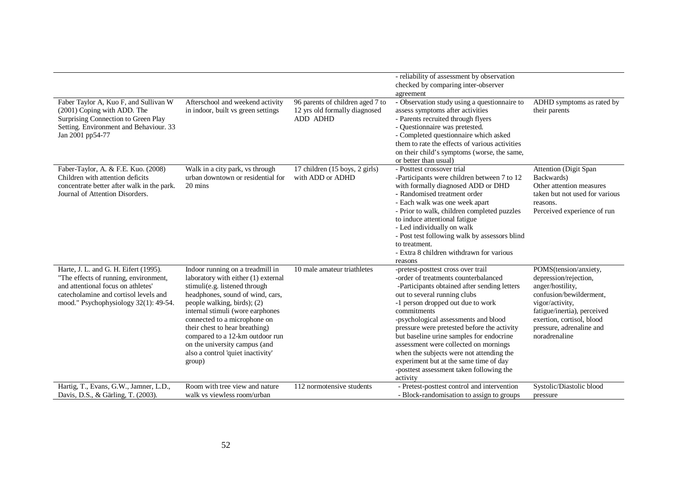|                                                                                                                                                                                                        |                                                                                                                                                                                                                                                                                                                                                                                                      |                                                                               | - reliability of assessment by observation                                                                                                                                                                                                                                                                                                                                                                                                                                                                                               |                                                                                                                                                                                                                           |
|--------------------------------------------------------------------------------------------------------------------------------------------------------------------------------------------------------|------------------------------------------------------------------------------------------------------------------------------------------------------------------------------------------------------------------------------------------------------------------------------------------------------------------------------------------------------------------------------------------------------|-------------------------------------------------------------------------------|------------------------------------------------------------------------------------------------------------------------------------------------------------------------------------------------------------------------------------------------------------------------------------------------------------------------------------------------------------------------------------------------------------------------------------------------------------------------------------------------------------------------------------------|---------------------------------------------------------------------------------------------------------------------------------------------------------------------------------------------------------------------------|
|                                                                                                                                                                                                        |                                                                                                                                                                                                                                                                                                                                                                                                      |                                                                               | checked by comparing inter-observer                                                                                                                                                                                                                                                                                                                                                                                                                                                                                                      |                                                                                                                                                                                                                           |
|                                                                                                                                                                                                        |                                                                                                                                                                                                                                                                                                                                                                                                      |                                                                               | agreement                                                                                                                                                                                                                                                                                                                                                                                                                                                                                                                                |                                                                                                                                                                                                                           |
| Faber Taylor A, Kuo F, and Sullivan W<br>(2001) Coping with ADD. The<br>Surprising Connection to Green Play<br>Setting. Environment and Behaviour. 33<br>Jan 2001 pp54-77                              | Afterschool and weekend activity<br>in indoor, built vs green settings                                                                                                                                                                                                                                                                                                                               | 96 parents of children aged 7 to<br>12 yrs old formally diagnosed<br>ADD ADHD | - Observation study using a questionnaire to<br>assess symptoms after activities<br>- Parents recruited through flyers<br>- Questionnaire was pretested.<br>- Completed questionnaire which asked<br>them to rate the effects of various activities<br>on their child's symptoms (worse, the same,<br>or better than usual)                                                                                                                                                                                                              | ADHD symptoms as rated by<br>their parents                                                                                                                                                                                |
| Faber-Taylor, A. & F.E. Kuo. (2008)<br>Children with attention deficits<br>concentrate better after walk in the park.<br>Journal of Attention Disorders.                                               | Walk in a city park, vs through<br>urban downtown or residential for<br>20 mins                                                                                                                                                                                                                                                                                                                      | 17 children (15 boys, 2 girls)<br>with ADD or ADHD                            | - Posttest crossover trial<br>-Participants were children between 7 to 12<br>with formally diagnosed ADD or DHD<br>- Randomised treatment order<br>- Each walk was one week apart<br>- Prior to walk, children completed puzzles<br>to induce attentional fatigue<br>- Led individually on walk<br>- Post test following walk by assessors blind<br>to treatment.<br>- Extra 8 children withdrawn for various<br>reasons                                                                                                                 | <b>Attention</b> (Digit Span<br>Backwards)<br>Other attention measures<br>taken but not used for various<br>reasons.<br>Perceived experience of run                                                                       |
| Harte, J. L. and G. H. Eifert (1995).<br>"The effects of running, environment,<br>and attentional focus on athletes'<br>catecholamine and cortisol levels and<br>mood." Psychophysiology 32(1): 49-54. | Indoor running on a treadmill in<br>laboratory with either (1) external<br>stimuli(e.g. listened through<br>headphones, sound of wind, cars,<br>people walking, birds); (2)<br>internal stimuli (wore earphones<br>connected to a microphone on<br>their chest to hear breathing)<br>compared to a 12-km outdoor run<br>on the university campus (and<br>also a control 'quiet inactivity'<br>group) | 10 male amateur triathletes                                                   | -pretest-posttest cross over trail<br>-order of treatments counterbalanced<br>-Participants obtained after sending letters<br>out to several running clubs<br>-1 person dropped out due to work<br>commitments<br>-psychological assessments and blood<br>pressure were pretested before the activity<br>but baseline urine samples for endocrine<br>assessment were collected on mornings<br>when the subjects were not attending the<br>experiment but at the same time of day<br>-posttest assessment taken following the<br>activity | POMS(tension/anxiety,<br>depression/rejection,<br>anger/hostility,<br>confusion/bewilderment,<br>vigor/activity,<br>fatigue/inertia), perceived<br>exertion, cortisol, blood<br>pressure, adrenaline and<br>noradrenaline |
| Hartig, T., Evans, G.W., Jamner, L.D.,<br>Davis, D.S., & Gärling, T. (2003).                                                                                                                           | Room with tree view and nature<br>walk vs viewless room/urban                                                                                                                                                                                                                                                                                                                                        | 112 normotensive students                                                     | - Pretest-posttest control and intervention<br>- Block-randomisation to assign to groups                                                                                                                                                                                                                                                                                                                                                                                                                                                 | Systolic/Diastolic blood<br>pressure                                                                                                                                                                                      |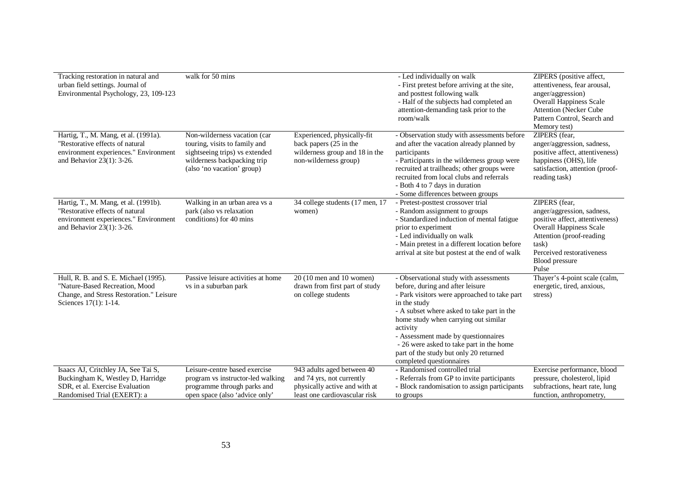| Tracking restoration in natural and<br>urban field settings. Journal of<br>Environmental Psychology, 23, 109-123                              | walk for 50 mins                                                                                                                                             |                                                                                                                           | - Led individually on walk<br>- First pretest before arriving at the site,<br>and posttest following walk<br>- Half of the subjects had completed an<br>attention-demanding task prior to the<br>room/walk                                                                                                                                                                                            | ZIPERS (positive affect,<br>attentiveness, fear arousal,<br>anger/aggression)<br><b>Overall Happiness Scale</b><br><b>Attention (Necker Cube</b><br>Pattern Control, Search and<br>Memory test)               |
|-----------------------------------------------------------------------------------------------------------------------------------------------|--------------------------------------------------------------------------------------------------------------------------------------------------------------|---------------------------------------------------------------------------------------------------------------------------|-------------------------------------------------------------------------------------------------------------------------------------------------------------------------------------------------------------------------------------------------------------------------------------------------------------------------------------------------------------------------------------------------------|---------------------------------------------------------------------------------------------------------------------------------------------------------------------------------------------------------------|
| Hartig, T., M. Mang, et al. (1991a).<br>"Restorative effects of natural<br>environment experiences." Environment<br>and Behavior 23(1): 3-26. | Non-wilderness vacation (car<br>touring, visits to family and<br>sightseeing trips) vs extended<br>wilderness backpacking trip<br>(also 'no vacation' group) | Experienced, physically-fit<br>back papers (25 in the<br>wilderness group and 18 in the<br>non-wilderness group)          | - Observation study with assessments before<br>and after the vacation already planned by<br>participants<br>- Participants in the wilderness group were<br>recruited at trailheads; other groups were<br>recruited from local clubs and referrals<br>- Both 4 to 7 days in duration<br>- Some differences between groups                                                                              | ZIPERS (fear,<br>anger/aggression, sadness,<br>positive affect, attentiveness)<br>happiness (OHS), life<br>satisfaction, attention (proof-<br>reading task)                                                   |
| Hartig, T., M. Mang, et al. (1991b).<br>"Restorative effects of natural<br>environment experiences." Environment<br>and Behavior 23(1): 3-26. | Walking in an urban area vs a<br>park (also vs relaxation<br>conditions) for 40 mins                                                                         | 34 college students (17 men, 17<br>women)                                                                                 | - Pretest-posttest crossover trial<br>- Random assignment to groups<br>- Standardized induction of mental fatigue<br>prior to experiment<br>- Led individually on walk<br>- Main pretest in a different location before<br>arrival at site but postest at the end of walk                                                                                                                             | ZIPERS (fear,<br>anger/aggression, sadness,<br>positive affect, attentiveness)<br><b>Overall Happiness Scale</b><br>Attention (proof-reading<br>task)<br>Perceived restorativeness<br>Blood pressure<br>Pulse |
| Hull, R. B. and S. E. Michael (1995).<br>"Nature-Based Recreation, Mood<br>Change, and Stress Restoration." Leisure<br>Sciences 17(1): 1-14.  | Passive leisure activities at home<br>vs in a suburban park                                                                                                  | $20(10 \text{ men and } 10 \text{ women})$<br>drawn from first part of study<br>on college students                       | - Observational study with assessments<br>before, during and after leisure<br>- Park visitors were approached to take part<br>in the study<br>- A subset where asked to take part in the<br>home study when carrying out similar<br>activity<br>- Assessment made by questionnaires<br>- 26 were asked to take part in the home<br>part of the study but only 20 returned<br>completed questionnaires | Thayer's 4-point scale (calm,<br>energetic, tired, anxious,<br>stress)                                                                                                                                        |
| Isaacs AJ, Critchley JA, See Tai S,<br>Buckingham K, Westley D, Harridge<br>SDR, et al. Exercise Evaluation<br>Randomised Trial (EXERT): a    | Leisure-centre based exercise<br>program vs instructor-led walking<br>programme through parks and<br>open space (also 'advice only'                          | 943 adults aged between 40<br>and 74 yrs, not currently<br>physically active and with at<br>least one cardiovascular risk | - Randomised controlled trial<br>- Referrals from GP to invite participants<br>- Block randomisation to assign participants<br>to groups                                                                                                                                                                                                                                                              | Exercise performance, blood<br>pressure, cholesterol, lipid<br>subfractions, heart rate, lung<br>function, anthropometry,                                                                                     |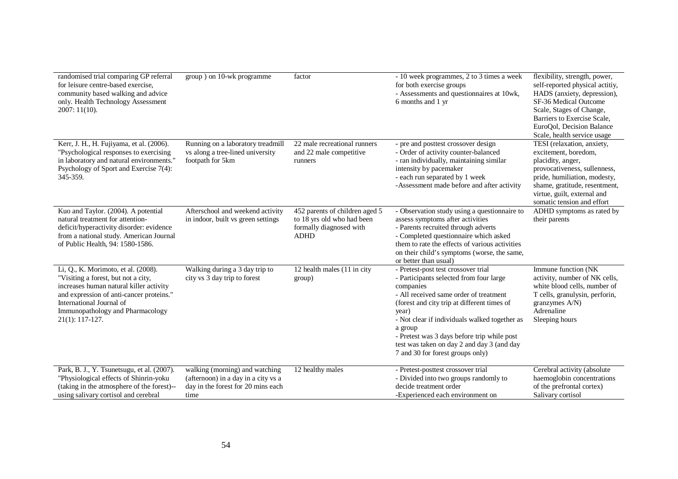| randomised trial comparing GP referral<br>for leisure centre-based exercise,<br>community based walking and advice<br>only. Health Technology Assessment<br>$2007:11(10)$ .                                                                            | group) on 10-wk programme                                                                                           | factor                                                                                                 | - 10 week programmes, 2 to 3 times a week<br>for both exercise groups<br>- Assessments and questionnaires at 10wk,<br>6 months and 1 yr                                                                                                                                                                                                                                                    | flexibility, strength, power,<br>self-reported physical actitiy,<br>HADS (anxiety, depression),<br>SF-36 Medical Outcome<br>Scale, Stages of Change,<br>Barriers to Exercise Scale,<br>EuroQol, Decision Balance<br>Scale, health service usage |
|--------------------------------------------------------------------------------------------------------------------------------------------------------------------------------------------------------------------------------------------------------|---------------------------------------------------------------------------------------------------------------------|--------------------------------------------------------------------------------------------------------|--------------------------------------------------------------------------------------------------------------------------------------------------------------------------------------------------------------------------------------------------------------------------------------------------------------------------------------------------------------------------------------------|-------------------------------------------------------------------------------------------------------------------------------------------------------------------------------------------------------------------------------------------------|
| Kerr, J. H., H. Fujiyama, et al. (2006).<br>"Psychological responses to exercising<br>in laboratory and natural environments."<br>Psychology of Sport and Exercise 7(4):<br>345-359.                                                                   | Running on a laboratory treadmill<br>vs along a tree-lined university<br>footpath for 5km                           | 22 male recreational runners<br>and 22 male competitive<br>runners                                     | - pre and posttest crossover design<br>- Order of activity counter-balanced<br>- ran individually, maintaining similar<br>intensity by pacemaker<br>- each run separated by 1 week<br>-Assessment made before and after activity                                                                                                                                                           | TESI (relaxation, anxiety,<br>excitement, boredom,<br>placidity, anger,<br>provocativeness, sullenness,<br>pride, humiliation, modesty,<br>shame, gratitude, resentment,<br>virtue, guilt, external and<br>somatic tension and effort           |
| Kuo and Taylor. (2004). A potential<br>natural treatment for attention-<br>deficit/hyperactivity disorder: evidence<br>from a national study. American Journal<br>of Public Health, 94: 1580-1586.                                                     | Afterschool and weekend activity<br>in indoor, built vs green settings                                              | 452 parents of children aged 5<br>to 18 yrs old who had been<br>formally diagnosed with<br><b>ADHD</b> | - Observation study using a questionnaire to<br>assess symptoms after activities<br>- Parents recruited through adverts<br>- Completed questionnaire which asked<br>them to rate the effects of various activities<br>on their child's symptoms (worse, the same,<br>or better than usual)                                                                                                 | ADHD symptoms as rated by<br>their parents                                                                                                                                                                                                      |
| Li, Q., K. Morimoto, et al. (2008).<br>"Visiting a forest, but not a city,<br>increases human natural killer activity<br>and expression of anti-cancer proteins."<br>International Journal of<br>Immunopathology and Pharmacology<br>$21(1): 117-127.$ | Walking during a 3 day trip to<br>city vs 3 day trip to forest                                                      | 12 health males (11 in city<br>group)                                                                  | - Pretest-post test crossover trial<br>- Participants selected from four large<br>companies<br>- All received same order of treatment<br>(forest and city trip at different times of<br>year)<br>- Not clear if individuals walked together as<br>a group<br>- Pretest was 3 days before trip while post<br>test was taken on day 2 and day 3 (and day<br>7 and 30 for forest groups only) | Immune function (NK<br>activity, number of NK cells,<br>white blood cells, number of<br>T cells, granulysin, perforin,<br>granzymes A/N)<br>Adrenaline<br>Sleeping hours                                                                        |
| Park, B. J., Y. Tsunetsugu, et al. (2007).<br>"Physiological effects of Shinrin-yoku<br>(taking in the atmosphere of the forest)--<br>using salivary cortisol and cerebral                                                                             | walking (morning) and watching<br>(afternoon) in a day in a city vs a<br>day in the forest for 20 mins each<br>time | 12 healthy males                                                                                       | - Pretest-posttest crossover trial<br>- Divided into two groups randomly to<br>decide treatment order<br>-Experienced each environment on                                                                                                                                                                                                                                                  | Cerebral activity (absolute<br>haemoglobin concentrations<br>of the prefrontal cortex)<br>Salivary cortisol                                                                                                                                     |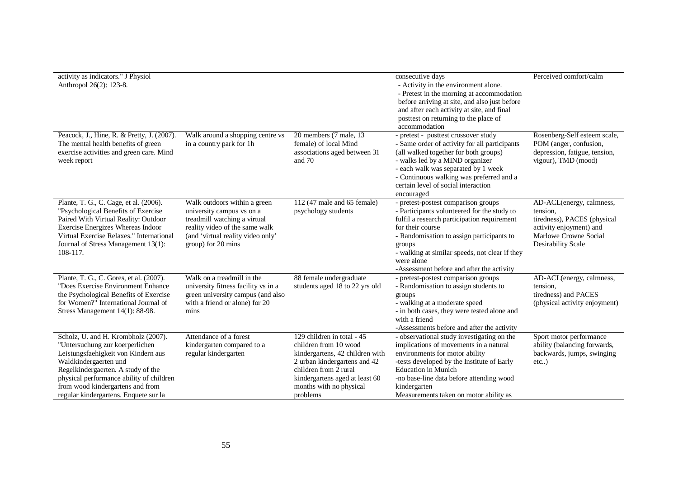| activity as indicators." J Physiol<br>Anthropol 26(2): 123-8.                                                                                                                                                                                                                                         |                                                                                                                                                                                        |                                                                                                                                                                                                                          | consecutive days<br>- Activity in the environment alone.<br>- Pretest in the morning at accommodation<br>before arriving at site, and also just before<br>and after each activity at site, and final<br>posttest on returning to the place of<br>accommodation                                                            | Perceived comfort/calm                                                                                                                        |
|-------------------------------------------------------------------------------------------------------------------------------------------------------------------------------------------------------------------------------------------------------------------------------------------------------|----------------------------------------------------------------------------------------------------------------------------------------------------------------------------------------|--------------------------------------------------------------------------------------------------------------------------------------------------------------------------------------------------------------------------|---------------------------------------------------------------------------------------------------------------------------------------------------------------------------------------------------------------------------------------------------------------------------------------------------------------------------|-----------------------------------------------------------------------------------------------------------------------------------------------|
| Peacock, J., Hine, R. & Pretty, J. (2007).<br>The mental health benefits of green<br>exercise activities and green care. Mind<br>week report                                                                                                                                                          | Walk around a shopping centre vs<br>in a country park for 1h                                                                                                                           | 20 members (7 male, 13)<br>female) of local Mind<br>associations aged between 31<br>and $70$                                                                                                                             | - pretest - posttest crossover study<br>- Same order of activity for all participants<br>(all walked together for both groups)<br>- walks led by a MIND organizer<br>- each walk was separated by 1 week<br>- Continuous walking was preferred and a<br>certain level of social interaction<br>encouraged                 | Rosenberg-Self esteem scale,<br>POM (anger, confusion,<br>depression, fatigue, tension,<br>vigour), TMD (mood)                                |
| Plante, T. G., C. Cage, et al. (2006).<br>"Psychological Benefits of Exercise"<br>Paired With Virtual Reality: Outdoor<br>Exercise Energizes Whereas Indoor<br>Virtual Exercise Relaxes." International<br>Journal of Stress Management 13(1):<br>108-117.                                            | Walk outdoors within a green<br>university campus vs on a<br>treadmill watching a virtual<br>reality video of the same walk<br>(and 'virtual reality video only'<br>group) for 20 mins | 112 (47 male and 65 female)<br>psychology students                                                                                                                                                                       | - pretest-postest comparison groups<br>- Participants volunteered for the study to<br>fulfil a research participation requirement<br>for their course<br>- Randomisation to assign participants to<br>groups<br>- walking at similar speeds, not clear if they<br>were alone<br>-Assessment before and after the activity | AD-ACL(energy, calmness,<br>tension.<br>tiredness), PACES (physical<br>activity enjoyment) and<br>Marlowe Crowne Social<br>Desirability Scale |
| Plante, T. G., C. Gores, et al. (2007).<br>"Does Exercise Environment Enhance<br>the Psychological Benefits of Exercise<br>for Women?" International Journal of<br>Stress Management 14(1): 88-98.                                                                                                    | Walk on a treadmill in the<br>university fitness facility vs in a<br>green university campus (and also<br>with a friend or alone) for 20<br>mins                                       | 88 female undergraduate<br>students aged 18 to 22 yrs old                                                                                                                                                                | - pretest-postest comparison groups<br>- Randomisation to assign students to<br>groups<br>- walking at a moderate speed<br>- in both cases, they were tested alone and<br>with a friend<br>-Assessments before and after the activity                                                                                     | AD-ACL(energy, calmness,<br>tension,<br>tiredness) and PACES<br>(physical activity enjoyment)                                                 |
| Scholz, U. and H. Krombholz (2007).<br>"Untersuchung zur koerperlichen<br>Leistungsfaehigkeit von Kindern aus<br>Waldkindergaerten und<br>Regelkindergaerten. A study of the<br>physical performance ability of children<br>from wood kindergartens and from<br>regular kindergartens. Enquete sur la | Attendance of a forest<br>kindergarten compared to a<br>regular kindergarten                                                                                                           | 129 children in total - 45<br>children from 10 wood<br>kindergartens, 42 children with<br>2 urban kindergartens and 42<br>children from 2 rural<br>kindergartens aged at least 60<br>months with no physical<br>problems | - observational study investigating on the<br>implications of movements in a natural<br>environments for motor ability<br>-tests developed by the Institute of Early<br><b>Education</b> in Munich<br>-no base-line data before attending wood<br>kindergarten<br>Measurements taken on motor ability as                  | Sport motor performance<br>ability (balancing forwards,<br>backwards, jumps, swinging<br>etc)                                                 |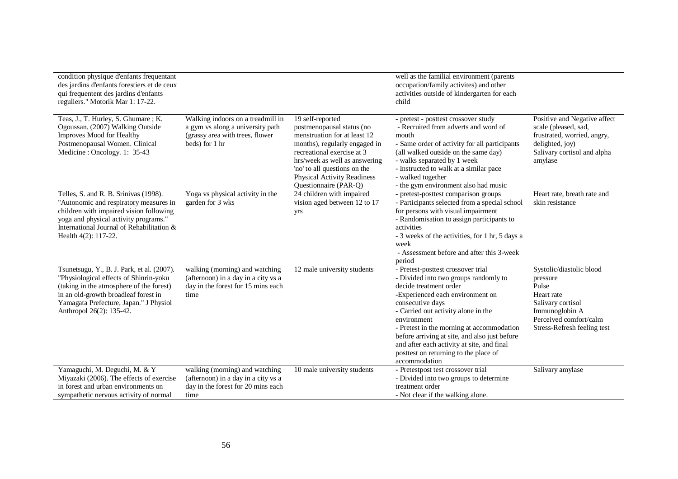| condition physique d'enfants frequentant<br>des jardins d'enfants forestiers et de ceux<br>qui frequentent des jardins d'enfants<br>reguliers." Motorik Mar 1: 17-22.                                                                          |                                                                                                                            |                                                                                                                                                                                                                                                                              | well as the familial environment (parents<br>occupation/family activites) and other<br>activities outside of kindergarten for each<br>child                                                                                                                                                                                                                                                                               |                                                                                                                                                             |
|------------------------------------------------------------------------------------------------------------------------------------------------------------------------------------------------------------------------------------------------|----------------------------------------------------------------------------------------------------------------------------|------------------------------------------------------------------------------------------------------------------------------------------------------------------------------------------------------------------------------------------------------------------------------|---------------------------------------------------------------------------------------------------------------------------------------------------------------------------------------------------------------------------------------------------------------------------------------------------------------------------------------------------------------------------------------------------------------------------|-------------------------------------------------------------------------------------------------------------------------------------------------------------|
| Teas, J., T. Hurley, S. Ghumare; K.<br>Ogoussan. (2007) Walking Outside<br>Improves Mood for Healthy<br>Postmenopausal Women. Clinical<br>Medicine: Oncology. 1: 35-43                                                                         | Walking indoors on a treadmill in<br>a gym vs along a university path<br>(grassy area with trees, flower<br>beds) for 1 hr | 19 self-reported<br>postmenopausal status (no<br>menstruation for at least 12<br>months), regularly engaged in<br>recreational exercise at 3<br>hrs/week as well as answering<br>'no' to all questions on the<br><b>Physical Activity Readiness</b><br>Questionnaire (PAR-Q) | - pretest - posttest crossover study<br>- Recruited from adverts and word of<br>mouth<br>- Same order of activity for all participants<br>(all walked outside on the same day)<br>- walks separated by 1 week<br>- Instructed to walk at a similar pace<br>- walked together<br>- the gym environment also had music                                                                                                      | Positive and Negative affect<br>scale (pleased, sad,<br>frustrated, worried, angry,<br>delighted, joy)<br>Salivary cortisol and alpha<br>amylase            |
| Telles, S. and R. B. Srinivas (1998).<br>"Autonomic and respiratory measures in<br>children with impaired vision following<br>yoga and physical activity programs."<br>International Journal of Rehabilitation &<br>Health 4(2): 117-22.       | Yoga vs physical activity in the<br>garden for 3 wks                                                                       | 24 children with impaired<br>vision aged between 12 to 17<br>yrs                                                                                                                                                                                                             | - pretest-posttest comparison groups<br>- Participants selected from a special school<br>for persons with visual impairment<br>- Randomisation to assign participants to<br>activities<br>- 3 weeks of the activities, for 1 hr, 5 days a<br>week<br>- Assessment before and after this 3-week<br>period                                                                                                                  | Heart rate, breath rate and<br>skin resistance                                                                                                              |
| Tsunetsugu, Y., B. J. Park, et al. (2007).<br>"Physiological effects of Shinrin-yoku<br>(taking in the atmosphere of the forest)<br>in an old-growth broadleaf forest in<br>Yamagata Prefecture, Japan." J Physiol<br>Anthropol 26(2): 135-42. | walking (morning) and watching<br>(afternoon) in a day in a city vs a<br>day in the forest for 15 mins each<br>time        | 12 male university students                                                                                                                                                                                                                                                  | - Pretest-posttest crossover trial<br>- Divided into two groups randomly to<br>decide treatment order<br>-Experienced each environment on<br>consecutive days<br>- Carried out activity alone in the<br>environment<br>- Pretest in the morning at accommodation<br>before arriving at site, and also just before<br>and after each activity at site, and final<br>posttest on returning to the place of<br>accommodation | Systolic/diastolic blood<br>pressure<br>Pulse<br>Heart rate<br>Salivary cortisol<br>Immunoglobin A<br>Perceived comfort/calm<br>Stress-Refresh feeling test |
| Yamaguchi, M. Deguchi, M. & Y<br>Miyazaki (2006). The effects of exercise<br>in forest and urban environments on<br>sympathetic nervous activity of normal                                                                                     | walking (morning) and watching<br>(afternoon) in a day in a city vs a<br>day in the forest for 20 mins each<br>time        | 10 male university students                                                                                                                                                                                                                                                  | - Pretestpost test crossover trial<br>- Divided into two groups to determine<br>treatment order<br>- Not clear if the walking alone.                                                                                                                                                                                                                                                                                      | Salivary amylase                                                                                                                                            |